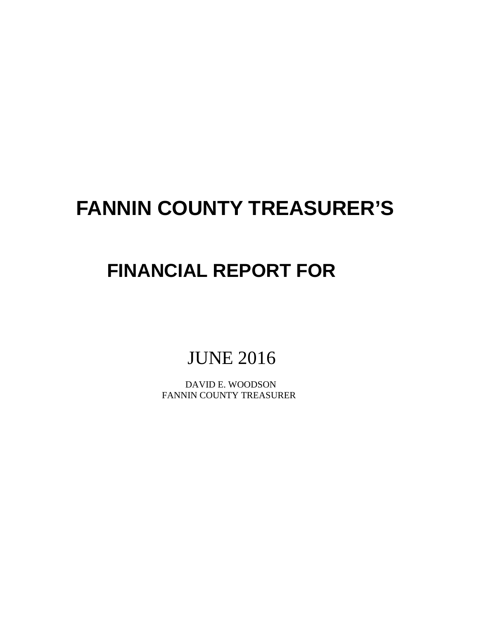# **FANNIN COUNTY TREASURER'S**

## **FINANCIAL REPORT FOR**

JUNE 2016

 DAVID E. WOODSON FANNIN COUNTY TREASURER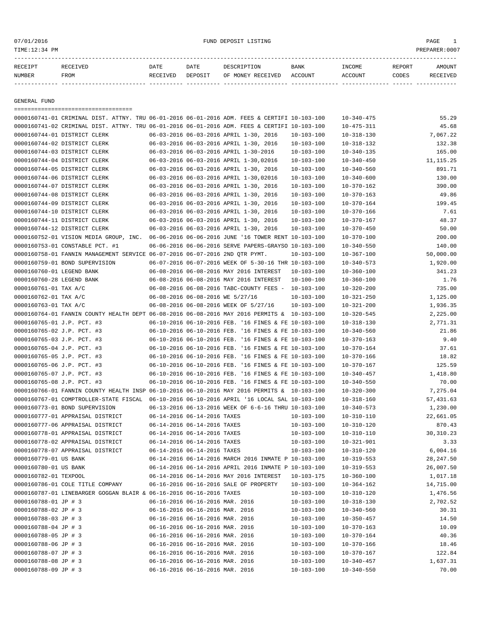#### 07/01/2016 PAGE 1 PAGE 1

| RECEIPT       | <b>RECEIVED</b> | DATE     | DATE    | DESCRIPTION       | BANK    | INCOME  | <b>REPORT</b> | AMOUNT |
|---------------|-----------------|----------|---------|-------------------|---------|---------|---------------|--------|
| <b>NUMBER</b> | FROM            | RECEIVED | DEPOSIT | OF MONEY RECEIVED | ACCOUNT | ACCOUNT | CODES         | CEIVED |
|               |                 |          |         |                   |         |         |               |        |

GENERAL FUND

=================================== 0000160741-01 CRIMINAL DIST. ATTNY. TRU 06-01-2016 06-01-2016 ADM. FEES & CERTIFI 10-103-100 10-340-475 55.29 0000160741-02 CRIMINAL DIST. ATTNY. TRU 06-01-2016 06-01-2016 ADM. FEES & CERTIFI 10-103-100 10-475-311 45.68 0000160744-01 DISTRICT CLERK 06-03-2016 06-03-2016 APRIL 1-30, 2016 10-103-100 10-318-130 7,067.22 0000160744-02 DISTRICT CLERK 06-03-2016 06-03-2016 APRIL 1-30, 2016 10-103-100 10-318-132 132.38 0000160744-03 DISTRICT CLERK 06-03-2016 06-03-2016 APRIL 1-30-2016 10-103-100 10-340-135 165.00 0000160744-04 DISTRICT CLERK 06-03-2016 06-03-2016 APRIL 1-30,02016 10-103-100 10-340-450 11,115.25 0000160744-05 DISTRICT CLERK 06-03-2016 06-03-2016 APRIL 1-30, 2016 10-103-100 10-340-560 891.71 0000160744-06 DISTRICT CLERK 06-03-2016 06-03-2016 APRIL 1-30,02016 10-103-100 10-340-600 130.00 0000160744-07 DISTRICT CLERK 06-03-2016 06-03-2016 APRIL 1-30, 2016 10-103-100 10-370-162 390.00 0000160744-08 DISTRICT CLERK 06-03-2016 06-03-2016 APRIL 1-30, 2016 10-103-100 10-370-163 49.86 0000160744-09 DISTRICT CLERK 06-03-2016 06-03-2016 APRIL 1-30, 2016 10-103-100 10-370-164 199.45 0000160744-10 DISTRICT CLERK 06-03-2016 06-03-2016 APRIL 1-30, 2016 10-103-100 10-370-166 7.61 0000160744-11 DISTRICT CLERK 06-03-2016 06-03-2016 APRIL 1-30, 2016 10-103-100 10-370-167 48.37 0000160744-12 DISTRICT CLERK 06-03-2016 06-03-2016 APRIL 1-30, 2016 10-103-100 10-370-450 50.00 0000160752-01 VISION MEDIA GROUP, INC. 06-06-2016 06-06-2016 JUNE '16 TOWER RENT 10-103-100 10-370-100 200.00 0000160753-01 CONSTABLE PCT. #1 06-06-2016 06-06-2016 SERVE PAPERS-GRAYSO 10-103-100 10-340-550 140.00 0000160758-01 FANNIN MANAGEMENT SERVICE 06-07-2016 06-07-2016 2ND QTR PYMT. 10-103-100 10-367-100 50,000.00 0000160759-01 BOND SUPERVISION 06-07-2016 06-07-2016 WEEK OF 5-30-16 THR 10-103-100 10-340-573 1,920.00 0000160760-01 LEGEND BANK 06-08-2016 06-08-2016 MAY 2016 INTEREST 10-103-100 10-360-100 341.23 0000160760-28 LEGEND BANK 06-08-2016 06-08-2016 MAY 2016 INTEREST 10-100-100 10-360-100 10-360-100 0000160761-01 TAX A/C 06-08-2016 06-08-2016 TABC-COUNTY FEES - 10-103-100 10-320-200 735.00 0000160762-01 TAX A/C 06-08-2016 06-08-2016 WE 5/27/16 10-103-100 10-321-250 1,125.00 0000160763-01 TAX A/C 06-08-2016 06-08-2016 WEEK OF 5/27/16 10-103-100 10-321-200 1,936.35 0000160764-01 FANNIN COUNTY HEALTH DEPT 06-08-2016 06-08-2016 MAY 2016 PERMITS & 10-103-100 10-320-545 2,225.00 0000160765-01 J.P. PCT. #3 06-10-2016 06-10-2016 FEB. '16 FINES & FE 10-103-100 10-318-130 2,771.31 0000160765-02 J.P. PCT. #3 06-10-2016 06-10-2016 FEB. '16 FINES & FE 10-103-100 10-340-560 21.86 0000160765-03 J.P. PCT. #3 06-10-2016 06-10-2016 FEB. '16 FINES & FE 10-103-100 10-370-163 9.40 0000160765-04 J.P. PCT. #3 06-10-2016 06-10-2016 FEB. '16 FINES & FE 10-103-100 10-370-164 37.61 0000160765-05 J.P. PCT. #3 06-10-2016 06-10-2016 FEB. '16 FINES & FE 10-103-100 10-370-166 18.82 0000160765-06 J.P. PCT. #3 06-10-2016 06-10-2016 FEB. '16 FINES & FE 10-103-100 10-370-167 125.59 0000160765-07 J.P. PCT. #3 06-10-2016 06-10-2016 FEB. '16 FINES & FE 10-103-100 10-340-457 1,418.80 0000160765-08 J.P. PCT. #3 06-10-2016 06-10-2016 FEB. '16 FINES & FE 10-103-100 10-340-550 70.00 0000160766-01 FANNIN COUNTY HEALTH INSP 06-10-2016 06-10-2016 MAY 2016 PERMITS & 10-103-100 10-320-300 7,275.04 0000160767-01 COMPTROLLER-STATE FISCAL 06-10-2016 06-10-2016 APRIL '16 LOCAL SAL 10-103-100 10-318-160 57,431.63 0000160773-01 BOND SUPERVISION 06-13-2016 06-13-2016 WEEK OF 6-6-16 THRU 10-103-100 10-340-573 1,230.00 0000160777-01 APPRAISAL DISTRICT 06-14-2016 06-14-2016 TAXES 10-103-100 10-310-110 22,661.05 0000160777-06 APPRAISAL DISTRICT 06-14-2016 06-14-2016 TAXES 10-103-100 10-310-120 870.43 0000160778-01 APPRAISAL DISTRICT 06-14-2016 06-14-2016 TAXES 10-103-100 10-310-110 30,310.23 0000160778-02 APPRAISAL DISTRICT 06-14-2016 06-14-2016 TAXES 10-103-100 10-321-901 3.33 0000160778-07 APPRAISAL DISTRICT 06-14-2016 06-14-2016 TAXES 10-103-100 10-310-120 6,004.16 0000160779-01 US BANK 06-14-2016 06-14-2016 MARCH 2016 INMATE P 10-103-100 10-319-553 28,247.50 0000160780-01 US BANK 06-14-2016 06-14-2016 APRIL 2016 INMATE P 10-103-100 10-319-553 26,007.50 0000160782-01 TEXPOOL 06-14-2016 06-14-2016 MAY 2016 INTEREST 10-103-175 10-360-100 1,017.18 0000160786-01 COLE TITLE COMPANY 06-16-2016 06-16-2016 SALE OF PROPERTY 10-103-100 10-364-162 14,715.00 0000160787-01 LINEBARGER GOGGAN BLAIR & 06-16-2016 06-16-2016 TAXES 10-103-100 10-310-120 1,476.56 0000160788-01 JP # 3 06-16-2016 06-16-2016 MAR. 2016 10-103-100 10-318-130 2,702.52 0000160788-02 JP # 3 06-16-2016 06-16-2016 MAR. 2016 10-103-100 10-340-560 30.31 0000160788-03 JP # 3 06-16-2016 06-16-2016 MAR. 2016 10-103-100 10-350-457 14.50 0000160788-04 JP # 3 06-16-2016 06-16-2016 MAR. 2016 10-103-100 10-370-163 10.09 0000160788-05 JP # 3 06-16-2016 06-16-2016 MAR. 2016 10-103-100 10-370-164 10.36 0000160788-06 JP # 3 06-16-2016 06-16-2016 MAR. 2016 10-103-100 10-370-166 18.46 0000160788-07 JP # 3 06-16-2016 06-16-2016 MAR. 2016 10-103-100 10-370-167 122.84 0000160788-08 JP # 3 06-16-2016 06-16-2016 MAR. 2016 10-103-100 10-340-457 1,637.31 0000160788-09 JP # 3 06-16-2016 06-16-2016 MAR. 2016 10-103-100 10-340-550 70.00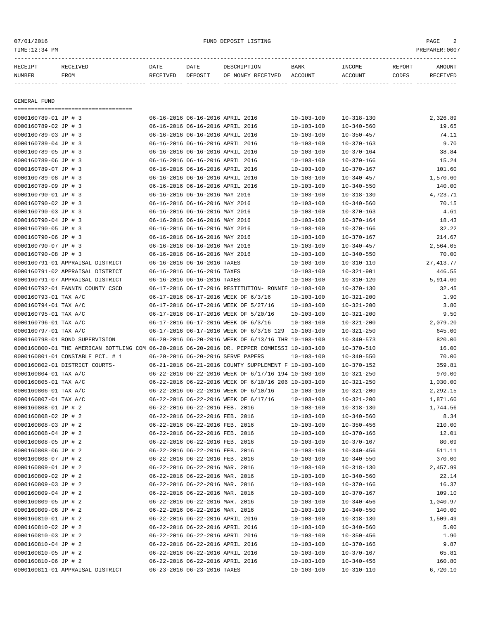| RECEIPT      | RECEIVED | DATE     | DATE    | DESCRIPTION       | BANK    | INCOME  | REPORT | <b>AMOUNT</b> |
|--------------|----------|----------|---------|-------------------|---------|---------|--------|---------------|
| NUMBER       | FROM     | RECEIVED | DEPOSIT | OF MONEY RECEIVED | ACCOUNT | ACCOUNT | CODES  | RECEIVED      |
|              |          |          |         |                   |         |         |        |               |
|              |          |          |         |                   |         |         |        |               |
| GENERAL FUND |          |          |         |                   |         |         |        |               |
|              |          |          |         |                   |         |         |        |               |

| 0000160789-01 JP # 3                                                                         | 06-16-2016 06-16-2016 APRIL 2016                                |                                                      | $10 - 103 - 100$                     | $10 - 318 - 130$                     | 2,326.89           |
|----------------------------------------------------------------------------------------------|-----------------------------------------------------------------|------------------------------------------------------|--------------------------------------|--------------------------------------|--------------------|
| 0000160789-02 JP # 3                                                                         | 06-16-2016 06-16-2016 APRIL 2016                                |                                                      | $10 - 103 - 100$                     | $10 - 340 - 560$                     | 19.65              |
| 0000160789-03 JP # 3                                                                         |                                                                 | 06-16-2016 06-16-2016 APRIL 2016                     | $10 - 103 - 100$                     | $10 - 350 - 457$                     | 74.11              |
| 0000160789-04 JP # 3                                                                         |                                                                 | 06-16-2016 06-16-2016 APRIL 2016                     | $10 - 103 - 100$                     | $10 - 370 - 163$                     | 9.70               |
| 0000160789-05 JP # 3                                                                         |                                                                 | 06-16-2016 06-16-2016 APRIL 2016                     | $10 - 103 - 100$                     | $10 - 370 - 164$                     | 38.84              |
| 0000160789-06 JP # 3                                                                         | 06-16-2016 06-16-2016 APRIL 2016                                |                                                      | $10 - 103 - 100$                     | $10 - 370 - 166$                     | 15.24              |
| 0000160789-07 JP # 3                                                                         |                                                                 | 06-16-2016 06-16-2016 APRIL 2016                     | $10 - 103 - 100$                     | $10 - 370 - 167$                     | 101.60             |
| 0000160789-08 JP # 3                                                                         |                                                                 | 06-16-2016 06-16-2016 APRIL 2016                     | $10 - 103 - 100$                     | $10 - 340 - 457$                     | 1,570.60           |
| 0000160789-09 JP # 3                                                                         |                                                                 | 06-16-2016 06-16-2016 APRIL 2016                     | $10 - 103 - 100$                     | $10 - 340 - 550$                     | 140.00             |
| 0000160790-01 JP # 3                                                                         | 06-16-2016 06-16-2016 MAY 2016                                  |                                                      | $10 - 103 - 100$                     | $10 - 318 - 130$                     | 4,723.71           |
| 0000160790-02 JP # 3                                                                         | 06-16-2016 06-16-2016 MAY 2016                                  |                                                      | $10 - 103 - 100$                     | $10 - 340 - 560$                     | 70.15              |
| 0000160790-03 JP # 3                                                                         | 06-16-2016 06-16-2016 MAY 2016                                  |                                                      | $10 - 103 - 100$                     | $10 - 370 - 163$                     | 4.61               |
| 0000160790-04 JP # 3                                                                         | 06-16-2016 06-16-2016 MAY 2016                                  |                                                      | $10 - 103 - 100$                     | $10 - 370 - 164$                     | 18.43              |
| 0000160790-05 JP # 3                                                                         | 06-16-2016 06-16-2016 MAY 2016                                  |                                                      | $10 - 103 - 100$                     | $10 - 370 - 166$                     | 32.22              |
| 0000160790-06 JP # 3                                                                         | 06-16-2016 06-16-2016 MAY 2016                                  |                                                      | $10 - 103 - 100$                     | $10 - 370 - 167$                     | 214.67             |
| 0000160790-07 JP # 3                                                                         | 06-16-2016 06-16-2016 MAY 2016                                  |                                                      | $10 - 103 - 100$                     | $10 - 340 - 457$                     | 2,564.05           |
| 0000160790-08 JP # 3                                                                         | 06-16-2016 06-16-2016 MAY 2016                                  |                                                      | $10 - 103 - 100$                     | $10 - 340 - 550$                     | 70.00              |
| 0000160791-01 APPRAISAL DISTRICT                                                             | 06-16-2016 06-16-2016 TAXES                                     |                                                      | $10 - 103 - 100$                     | $10 - 310 - 110$                     | 27, 413.77         |
| 0000160791-02 APPRAISAL DISTRICT                                                             | 06-16-2016 06-16-2016 TAXES                                     |                                                      | $10 - 103 - 100$                     | $10 - 321 - 901$                     | 446.55             |
| 0000160791-07 APPRAISAL DISTRICT                                                             | 06-16-2016 06-16-2016 TAXES                                     |                                                      | $10 - 103 - 100$                     | $10 - 310 - 120$                     | 5,914.60           |
| 0000160792-01 FANNIN COUNTY CSCD                                                             |                                                                 | 06-17-2016 06-17-2016 RESTITUTION- RONNIE 10-103-100 |                                      | $10 - 370 - 130$                     | 32.45              |
| 0000160793-01 TAX A/C                                                                        |                                                                 | 06-17-2016 06-17-2016 WEEK OF 6/3/16                 | $10 - 103 - 100$                     | $10 - 321 - 200$                     | 1.90               |
| 0000160794-01 TAX A/C                                                                        |                                                                 | 06-17-2016 06-17-2016 WEEK OF 5/27/16                | $10 - 103 - 100$                     | $10 - 321 - 200$                     | 3.80               |
| 0000160795-01 TAX A/C                                                                        |                                                                 | 06-17-2016 06-17-2016 WEEK OF 5/20/16                | $10 - 103 - 100$                     | $10 - 321 - 200$                     | 9.50               |
| 0000160796-01 TAX A/C                                                                        |                                                                 | 06-17-2016 06-17-2016 WEEK OF 6/3/16                 | $10 - 103 - 100$                     | $10 - 321 - 200$                     | 2,079.20           |
| 0000160797-01 TAX A/C                                                                        |                                                                 | 06-17-2016 06-17-2016 WEEK OF 6/3/16 129 10-103-100  |                                      | $10 - 321 - 250$                     | 645.00             |
| 0000160798-01 BOND SUPERVISION                                                               |                                                                 | 06-20-2016 06-20-2016 WEEK OF 6/13/16 THR 10-103-100 |                                      | $10 - 340 - 573$                     | 820.00             |
| 0000160800-01 THE AMERICAN BOTTLING COM 06-20-2016 06-20-2016 DR. PEPPER COMMISSI 10-103-100 |                                                                 |                                                      |                                      | $10 - 370 - 510$                     | 16.00              |
| 0000160801-01 CONSTABLE PCT. # 1                                                             |                                                                 | 06-20-2016 06-20-2016 SERVE PAPERS                   | 10-103-100                           | $10 - 340 - 550$                     | 70.00              |
|                                                                                              |                                                                 | 06-21-2016 06-21-2016 COUNTY SUPPLEMENT F 10-103-100 |                                      |                                      |                    |
|                                                                                              |                                                                 |                                                      |                                      |                                      |                    |
| 0000160802-01 DISTRICT COURTS-                                                               |                                                                 |                                                      |                                      | $10 - 370 - 152$                     | 359.81             |
| 0000160804-01 TAX A/C                                                                        |                                                                 | 06-22-2016 06-22-2016 WEEK OF 6/17/16 194 10-103-100 |                                      | $10 - 321 - 250$                     | 970.00             |
| 0000160805-01 TAX A/C                                                                        |                                                                 | 06-22-2016 06-22-2016 WEEK OF 6/10/16 206 10-103-100 |                                      | $10 - 321 - 250$                     | 1,030.00           |
| 0000160806-01 TAX A/C                                                                        |                                                                 | 06-22-2016 06-22-2016 WEEK OF 6/10/16                | $10 - 103 - 100$                     | $10 - 321 - 200$                     | 2,292.15           |
| 0000160807-01 TAX A/C                                                                        |                                                                 | 06-22-2016 06-22-2016 WEEK OF 6/17/16                | $10 - 103 - 100$                     | $10 - 321 - 200$                     | 1,871.60           |
| 0000160808-01 JP # 2                                                                         | 06-22-2016 06-22-2016 FEB. 2016                                 |                                                      | $10 - 103 - 100$                     | $10 - 318 - 130$                     | 1,744.56           |
| 0000160808-02 JP # 2                                                                         | 06-22-2016 06-22-2016 FEB. 2016                                 |                                                      | $10 - 103 - 100$                     | $10 - 340 - 560$                     | 8.34               |
| 0000160808-03 JP # 2                                                                         | 06-22-2016 06-22-2016 FEB. 2016                                 |                                                      | $10 - 103 - 100$                     | $10 - 350 - 456$                     | 210.00             |
| 0000160808-04 JP # 2                                                                         | 06-22-2016 06-22-2016 FEB. 2016                                 |                                                      | $10 - 103 - 100$                     | $10 - 370 - 166$                     | 12.01              |
| 0000160808-05 JP # 2                                                                         | 06-22-2016 06-22-2016 FEB. 2016                                 |                                                      | $10 - 103 - 100$                     | $10 - 370 - 167$                     | 80.09              |
| 0000160808-06 JP # 2                                                                         | 06-22-2016 06-22-2016 FEB. 2016                                 |                                                      | $10 - 103 - 100$                     | $10 - 340 - 456$                     | 511.11             |
| 0000160808-07 JP # 2                                                                         | 06-22-2016 06-22-2016 FEB. 2016                                 |                                                      | $10 - 103 - 100$                     | $10 - 340 - 550$                     | 370.00             |
| 0000160809-01 JP # 2                                                                         | 06-22-2016 06-22-2016 MAR. 2016                                 |                                                      | $10 - 103 - 100$                     | $10 - 318 - 130$                     | 2,457.99           |
| 0000160809-02 JP # 2                                                                         | 06-22-2016 06-22-2016 MAR. 2016                                 |                                                      | $10 - 103 - 100$                     | $10 - 340 - 560$                     | 22.14              |
| 0000160809-03 JP # 2                                                                         | 06-22-2016 06-22-2016 MAR. 2016                                 |                                                      | $10 - 103 - 100$                     | $10 - 370 - 166$                     | 16.37              |
| 0000160809-04 JP # 2                                                                         | 06-22-2016 06-22-2016 MAR. 2016                                 |                                                      | $10 - 103 - 100$                     | $10 - 370 - 167$                     | 109.10             |
| 0000160809-05 JP # 2                                                                         | 06-22-2016 06-22-2016 MAR. 2016                                 |                                                      | $10 - 103 - 100$                     | $10 - 340 - 456$                     | 1,040.97           |
| 0000160809-06 JP # 2                                                                         | 06-22-2016 06-22-2016 MAR. 2016                                 |                                                      | $10 - 103 - 100$                     | $10 - 340 - 550$                     | 140.00             |
| 0000160810-01 JP # 2                                                                         | 06-22-2016 06-22-2016 APRIL 2016                                |                                                      | $10 - 103 - 100$                     | $10 - 318 - 130$                     | 1,509.49           |
| 0000160810-02 JP # 2                                                                         | 06-22-2016 06-22-2016 APRIL 2016                                |                                                      | $10 - 103 - 100$                     | $10 - 340 - 560$                     | 5.00               |
| 0000160810-03 JP # 2                                                                         | 06-22-2016 06-22-2016 APRIL 2016                                |                                                      | $10 - 103 - 100$                     | $10 - 350 - 456$                     | 1.90               |
| 0000160810-04 JP # 2                                                                         | 06-22-2016 06-22-2016 APRIL 2016                                |                                                      | $10 - 103 - 100$                     | $10 - 370 - 166$                     | 9.87               |
| 0000160810-05 JP # 2                                                                         | 06-22-2016 06-22-2016 APRIL 2016                                |                                                      | $10 - 103 - 100$                     | $10 - 370 - 167$                     | 65.81              |
| 0000160810-06 JP # 2<br>0000160811-01 APPRAISAL DISTRICT                                     | 06-22-2016 06-22-2016 APRIL 2016<br>06-23-2016 06-23-2016 TAXES |                                                      | $10 - 103 - 100$<br>$10 - 103 - 100$ | $10 - 340 - 456$<br>$10 - 310 - 110$ | 160.80<br>6,720.10 |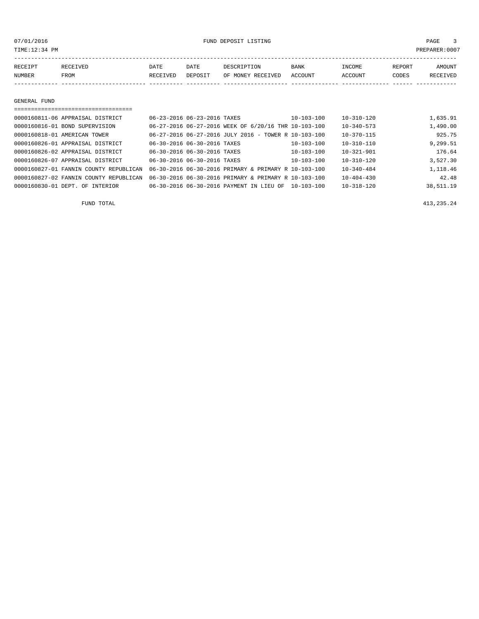07/01/2016 FUND DEPOSIT LISTING PAGE 3

| RECEIPT | <b>RECEIVED</b> | DATE     | DATE    | DESCRIPTION       | <b>BANK</b> | INCOME  | REPORT | AMOUNT   |
|---------|-----------------|----------|---------|-------------------|-------------|---------|--------|----------|
| NUMBER  | FROM            | RECEIVED | DEPOSIT | OF MONEY RECEIVED | ACCOUNT     | ACCOUNT | CODES  | RECEIVED |
|         |                 |          |         |                   |             |         |        |          |

GENERAL FUND

|                              | 0000160811-06 APPRAISAL DISTRICT       | 06-23-2016 06-23-2016 TAXES |                                                      | $10 - 103 - 100$ | $10 - 310 - 120$ | 1,635.91  |
|------------------------------|----------------------------------------|-----------------------------|------------------------------------------------------|------------------|------------------|-----------|
|                              | 0000160816-01 BOND SUPERVISION         |                             | 06-27-2016 06-27-2016 WEEK OF 6/20/16 THR 10-103-100 |                  | $10 - 340 - 573$ | 1,490.00  |
| 0000160818-01 AMERICAN TOWER |                                        |                             | 06-27-2016 06-27-2016 JULY 2016 - TOWER R 10-103-100 |                  | $10 - 370 - 115$ | 925.75    |
|                              | 0000160826-01 APPRAISAL DISTRICT       | 06-30-2016 06-30-2016 TAXES |                                                      | $10 - 103 - 100$ | $10 - 310 - 110$ | 9,299.51  |
|                              | 0000160826-02 APPRAISAL DISTRICT       | 06-30-2016 06-30-2016 TAXES |                                                      | $10 - 103 - 100$ | $10 - 321 - 901$ | 176.64    |
|                              | 0000160826-07 APPRAISAL DISTRICT       | 06-30-2016 06-30-2016 TAXES |                                                      | $10 - 103 - 100$ | $10 - 310 - 120$ | 3,527.30  |
|                              | 0000160827-01 FANNIN COUNTY REPUBLICAN |                             | 06-30-2016 06-30-2016 PRIMARY & PRIMARY R 10-103-100 |                  | $10 - 340 - 484$ | 1,118.46  |
|                              | 0000160827-02 FANNIN COUNTY REPUBLICAN |                             | 06-30-2016 06-30-2016 PRIMARY & PRIMARY R 10-103-100 |                  | $10 - 404 - 430$ | 42.48     |
| 0000160830-01 DEPT. OF       | <b>INTERIOR</b>                        |                             | 06-30-2016 06-30-2016 PAYMENT IN LIEU OF             | $10 - 103 - 100$ | $10 - 318 - 120$ | 38,511.19 |

FUND TOTAL 413,235.24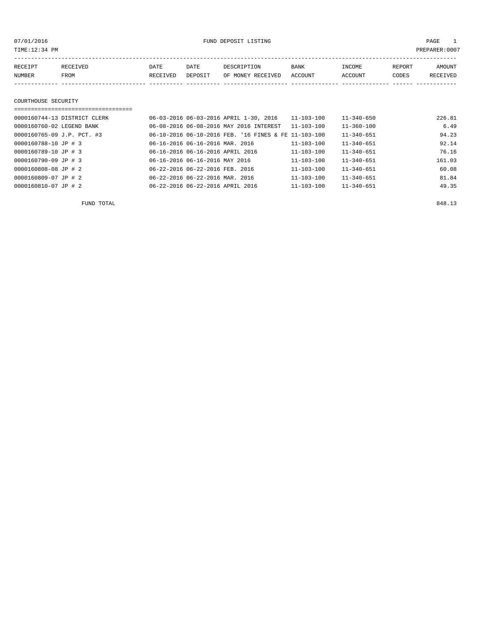07/01/2016 FUND DEPOSIT LISTING PAGE 1

| RECEIPT | <b>RECEIVED</b> | DATE            | DATE    | DESCRIPTION       | <b>BANK</b> | <b>TNCOME</b>  | REPORT | AMOUNT          |
|---------|-----------------|-----------------|---------|-------------------|-------------|----------------|--------|-----------------|
| NUMBER  | <b>FROM</b>     | <b>RECEIVED</b> | DEPOSIT | OF MONEY RECEIVED | ACCOUNT     | <b>ACCOUNT</b> | CODES  | <b>RECEIVED</b> |
|         |                 |                 |         |                   |             |                |        |                 |

#### COURTHOUSE SECURITY

| ============================= |                                                      |                  |                  |        |
|-------------------------------|------------------------------------------------------|------------------|------------------|--------|
| 0000160744-13 DISTRICT CLERK  | 06-03-2016 06-03-2016 APRIL 1-30, 2016               | $11 - 103 - 100$ | $11 - 340 - 650$ | 226.81 |
| 0000160760-02 LEGEND BANK     | 06-08-2016 06-08-2016 MAY 2016 INTEREST              | $11 - 103 - 100$ | $11 - 360 - 100$ | 6.49   |
| 0000160765-09 J.P. PCT. #3    | 06-10-2016 06-10-2016 FEB. '16 FINES & FE 11-103-100 |                  | $11 - 340 - 651$ | 94.23  |
| 0000160788-10 JP # 3          | 06-16-2016 06-16-2016 MAR. 2016                      | $11 - 103 - 100$ | $11 - 340 - 651$ | 92.14  |
| 0000160789-10 JP # 3          | 06-16-2016 06-16-2016 APRIL 2016                     | 11-103-100       | $11 - 340 - 651$ | 76.16  |
| 0000160790-09 JP # 3          | 06-16-2016 06-16-2016 MAY 2016                       | $11 - 103 - 100$ | $11 - 340 - 651$ | 161.03 |
| 0000160808-08 JP # 2          | 06-22-2016 06-22-2016 FEB. 2016                      | $11 - 103 - 100$ | $11 - 340 - 651$ | 60.08  |
| 0000160809-07 JP # 2          | 06-22-2016 06-22-2016 MAR. 2016                      | $11 - 103 - 100$ | $11 - 340 - 651$ | 81.84  |
| 0000160810-07 JP # 2          | 06-22-2016 06-22-2016 APRIL 2016                     | $11 - 103 - 100$ | $11 - 340 - 651$ | 49.35  |

FUND TOTAL 848.13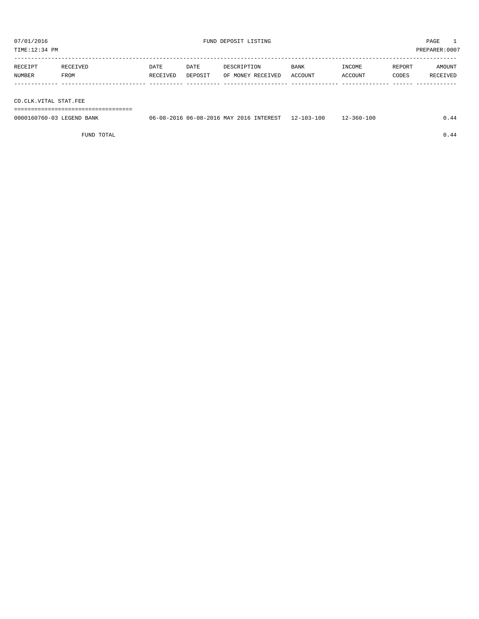TIME:12:34 PM PREPARER:0007

| RECEIPT | RECEIVED    | DATE     | DATE    | DESCRIPTION       | BANK    | INCOME  | REPORT | AMOUNT   |
|---------|-------------|----------|---------|-------------------|---------|---------|--------|----------|
| NUMBER  | <b>FROM</b> | RECEIVED | DEPOSIT | OF MONEY RECEIVED | ACCOUNT | ACCOUNT | CODES  | RECEIVED |
|         |             |          |         |                   |         |         |        |          |

CO.CLK.VITAL STAT.FEE

===================================

| 0000160760-03 LEGEND BANK | 06-08-2016 06-08-2016 MAY 2016 INTEREST 12-103-100 | $12 - 360 - 100$ | 0.44 |
|---------------------------|----------------------------------------------------|------------------|------|
|                           |                                                    |                  |      |

FUND TOTAL  $0.44$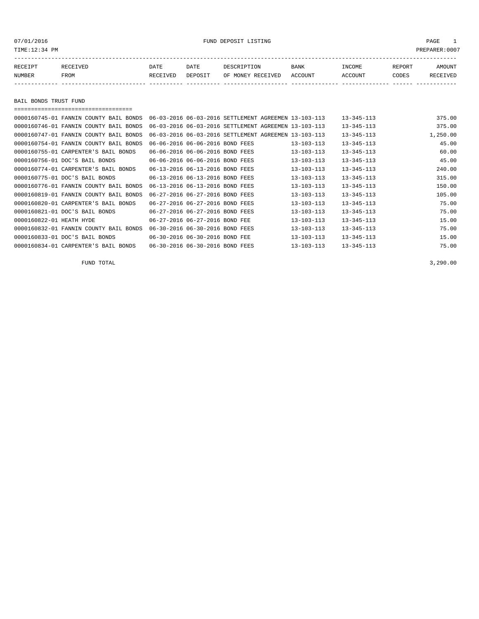TIME:12:34 PM PREPARER:0007

| RECEIPT | <b>RECEIVED</b> | DATE            | DATE    | DESCRIPTION       | <b>BANK</b> | "NCOME  | REPORT | AMOUNT          |
|---------|-----------------|-----------------|---------|-------------------|-------------|---------|--------|-----------------|
| NUMBER  | FROM            | <b>RECEIVED</b> | DEPOSIT | OF MONEY RECEIVED | ACCOUNT     | ACCOUNT | CODES  | <b>RECEIVED</b> |
|         |                 |                 |         |                   |             |         |        |                 |

BAIL BONDS TRUST FUND

===================================

|                          | 0000160745-01 FANNIN COUNTY BAIL BONDS |                                 | 06-03-2016 06-03-2016 SETTLEMENT AGREEMEN 13-103-113 |                  | $13 - 345 - 113$ | 375.00   |
|--------------------------|----------------------------------------|---------------------------------|------------------------------------------------------|------------------|------------------|----------|
|                          | 0000160746-01 FANNIN COUNTY BAIL BONDS |                                 | 06-03-2016 06-03-2016 SETTLEMENT AGREEMEN 13-103-113 |                  | $13 - 345 - 113$ | 375.00   |
|                          | 0000160747-01 FANNIN COUNTY BAIL BONDS |                                 | 06-03-2016 06-03-2016 SETTLEMENT AGREEMEN 13-103-113 |                  | $13 - 345 - 113$ | 1,250.00 |
|                          | 0000160754-01 FANNIN COUNTY BAIL BONDS | 06-06-2016 06-06-2016 BOND FEES |                                                      | $13 - 103 - 113$ | $13 - 345 - 113$ | 45.00    |
|                          | 0000160755-01 CARPENTER'S BAIL BONDS   | 06-06-2016 06-06-2016 BOND FEES |                                                      | $13 - 103 - 113$ | $13 - 345 - 113$ | 60.00    |
|                          | 0000160756-01 DOC'S BAIL BONDS         | 06-06-2016 06-06-2016 BOND FEES |                                                      | $13 - 103 - 113$ | $13 - 345 - 113$ | 45.00    |
|                          | 0000160774-01 CARPENTER'S BAIL BONDS   | 06-13-2016 06-13-2016 BOND FEES |                                                      | $13 - 103 - 113$ | $13 - 345 - 113$ | 240.00   |
|                          | 0000160775-01 DOC'S BAIL BONDS         | 06-13-2016 06-13-2016 BOND FEES |                                                      | $13 - 103 - 113$ | $13 - 345 - 113$ | 315.00   |
|                          | 0000160776-01 FANNIN COUNTY BAIL BONDS | 06-13-2016 06-13-2016 BOND FEES |                                                      | $13 - 103 - 113$ | $13 - 345 - 113$ | 150.00   |
|                          | 0000160819-01 FANNIN COUNTY BAIL BONDS | 06-27-2016 06-27-2016 BOND FEES |                                                      | 13-103-113       | $13 - 345 - 113$ | 105.00   |
|                          | 0000160820-01 CARPENTER'S BAIL BONDS   | 06-27-2016 06-27-2016 BOND FEES |                                                      | $13 - 103 - 113$ | $13 - 345 - 113$ | 75.00    |
|                          | 0000160821-01 DOC'S BAIL BONDS         | 06-27-2016 06-27-2016 BOND FEES |                                                      | $13 - 103 - 113$ | $13 - 345 - 113$ | 75.00    |
| 0000160822-01 HEATH HYDE |                                        | 06-27-2016 06-27-2016 BOND FEE  |                                                      | $13 - 103 - 113$ | $13 - 345 - 113$ | 15.00    |
|                          | 0000160832-01 FANNIN COUNTY BAIL BONDS | 06-30-2016 06-30-2016 BOND FEES |                                                      | $13 - 103 - 113$ | $13 - 345 - 113$ | 75.00    |
|                          | 0000160833-01 DOC'S BAIL BONDS         | 06-30-2016 06-30-2016 BOND FEE  |                                                      | $13 - 103 - 113$ | $13 - 345 - 113$ | 15.00    |
|                          | 0000160834-01 CARPENTER'S BAIL BONDS   | 06-30-2016 06-30-2016 BOND FEES |                                                      | $13 - 103 - 113$ | $13 - 345 - 113$ | 75.00    |

FUND TOTAL  $3,290.00$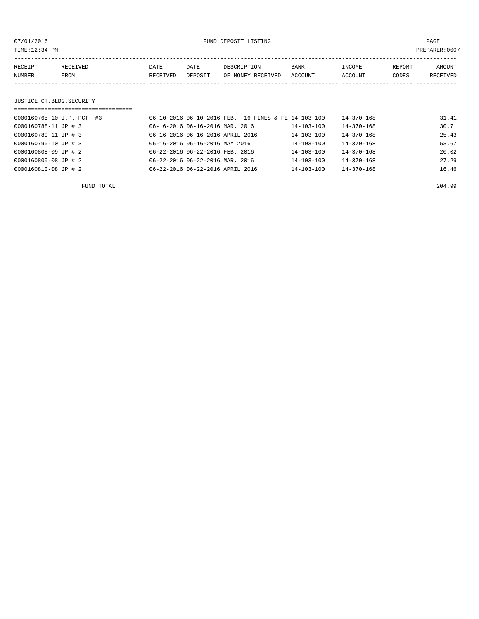TIME:12:34 PM PREPARER:0007

| RECEIPT | RECEIVED | DATE     | DATE    | DESCRIPTION       | <b>BANK</b> | INCOME  | REPORT | AMOUNT   |
|---------|----------|----------|---------|-------------------|-------------|---------|--------|----------|
| NUMBER  | FROM     | RECEIVED | DEPOSIT | OF MONEY RECEIVED | ACCOUNT     | ACCOUNT | CODES  | RECEIVED |
|         |          |          |         |                   |             |         |        |          |

## JUSTICE CT.BLDG.SECURITY

| ================================ |                                                      |                  |                  |       |
|----------------------------------|------------------------------------------------------|------------------|------------------|-------|
| 0000160765-10 J.P. PCT. #3       | 06-10-2016 06-10-2016 FEB. '16 FINES & FE 14-103-100 |                  | $14 - 370 - 168$ | 31.41 |
| 0000160788-11 JP # 3             | 06-16-2016 06-16-2016 MAR. 2016                      | 14-103-100       | $14 - 370 - 168$ | 30.71 |
| 0000160789-11 JP # 3             | 06-16-2016 06-16-2016 APRIL 2016                     | $14 - 103 - 100$ | $14 - 370 - 168$ | 25.43 |
| 0000160790-10 JP # 3             | 06-16-2016 06-16-2016 MAY 2016                       | $14 - 103 - 100$ | $14 - 370 - 168$ | 53.67 |
| 0000160808-09 JP # 2             | 06-22-2016 06-22-2016 FEB. 2016                      | $14 - 103 - 100$ | $14 - 370 - 168$ | 20.02 |
| 0000160809-08 JP # 2             | 06-22-2016 06-22-2016 MAR. 2016                      | $14 - 103 - 100$ | $14 - 370 - 168$ | 27.29 |
| 0000160810-08 JP # 2             | 06-22-2016 06-22-2016 APRIL 2016                     | $14 - 103 - 100$ | $14 - 370 - 168$ | 16.46 |

FUND TOTAL 204.99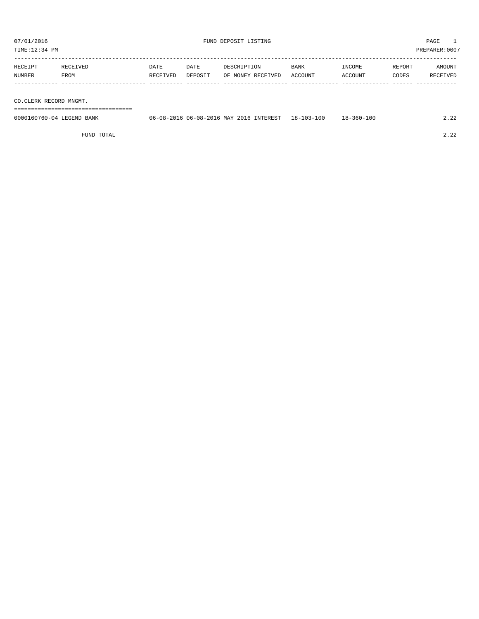TIME:12:34 PM PREPARER:0007

| RECEIPT | RECEIVED | DATE     | DATE    | DESCRIPTION       | <b>BANK</b> | INCOME  | REPORT | AMOUNT   |
|---------|----------|----------|---------|-------------------|-------------|---------|--------|----------|
| NUMBER  | FROM     | RECEIVED | DEPOSIT | OF MONEY RECEIVED | ACCOUNT     | ACCOUNT | CODES  | RECEIVED |
|         |          |          |         |                   |             |         |        |          |
|         |          |          |         |                   |             |         |        |          |

CO.CLERK RECORD MNGMT.

===================================

| 0000160760-04 LEGEND BANK | 06-08-2016 06-08-2016 MAY 2016 INTEREST 18-103-100 |  | $18 - 360 - 100$ |  |
|---------------------------|----------------------------------------------------|--|------------------|--|
|                           |                                                    |  |                  |  |

FUND TOTAL 2.22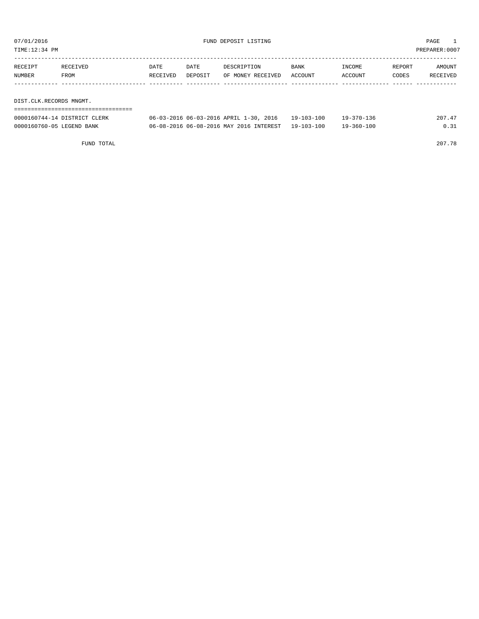| TIME:12:34 PM           |                              |          |         |                                        |            |            |        | PREPARER:0007 |
|-------------------------|------------------------------|----------|---------|----------------------------------------|------------|------------|--------|---------------|
|                         |                              |          |         |                                        |            |            |        |               |
| RECEIPT                 | RECEIVED                     | DATE     | DATE    | DESCRIPTION                            | BANK       | INCOME     | REPORT | AMOUNT        |
| NUMBER                  | FROM                         | RECEIVED | DEPOSIT | OF MONEY RECEIVED                      | ACCOUNT    | ACCOUNT    | CODES  | RECEIVED      |
|                         |                              |          |         |                                        |            |            |        |               |
|                         |                              |          |         |                                        |            |            |        |               |
| DIST.CLK.RECORDS MNGMT. |                              |          |         |                                        |            |            |        |               |
|                         |                              |          |         |                                        |            |            |        |               |
|                         | 0000160744-14 DISTRICT CLERK |          |         | 06-03-2016 06-03-2016 APRIL 1-30, 2016 | 19-103-100 | 19-370-136 |        | 207.47        |

0000160760-05 LEGEND BANK 06-08-2016 06-08-2016 MAY 2016 INTEREST 19-103-100 19-360-100 0.31

FUND TOTAL 207.78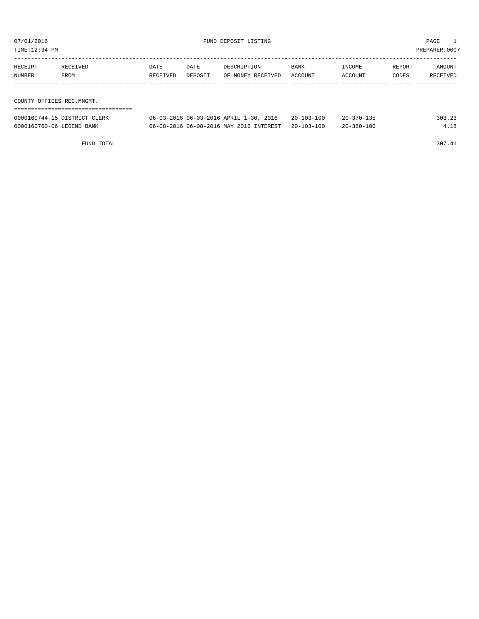TIME:12:34 PM PREPARER:0007

| RECEIPT                   | RECEIVED                     | DATE     | DATE                                   | DESCRIPTION       | <b>BANK</b>      | INCOME           | REPORT | AMOUNT   |
|---------------------------|------------------------------|----------|----------------------------------------|-------------------|------------------|------------------|--------|----------|
| NUMBER                    | FROM                         | RECEIVED | DEPOSIT                                | OF MONEY RECEIVED | ACCOUNT          | ACCOUNT          | CODES  | RECEIVED |
|                           |                              |          |                                        |                   |                  |                  |        |          |
|                           |                              |          |                                        |                   |                  |                  |        |          |
| COUNTY OFFICES REC.MNGMT. |                              |          |                                        |                   |                  |                  |        |          |
|                           |                              |          |                                        |                   |                  |                  |        |          |
|                           | 0000160744-15 DISTRICT CLERK |          | 06-03-2016 06-03-2016 APRIL 1-30, 2016 |                   | $20 - 103 - 100$ | $20 - 370 - 135$ |        | 303.23   |

0000160760-06 LEGEND BANK 06-08-2016 06-08-2016 MAY 2016 INTEREST 20-103-100 20-360-100 4.18

FUND TOTAL 307.41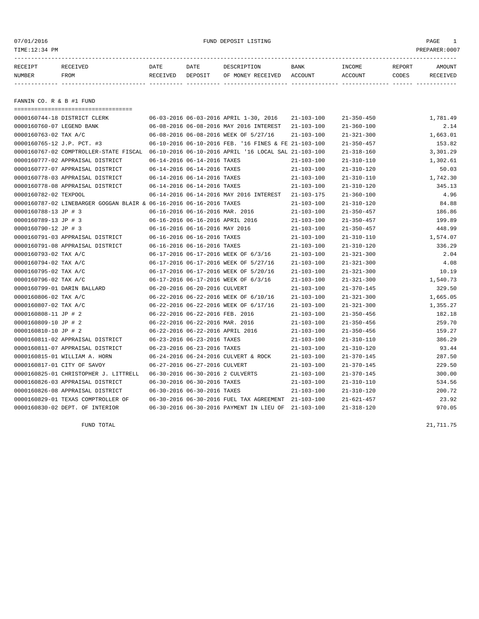07/01/2016 FUND DEPOSIT LISTING PAGE 1

| RECEIPT       | RECEIVED    | DATE     | DATE    | DESCRIPTION               | BANK | INCOME  | REPORT       | AMOUNT          |
|---------------|-------------|----------|---------|---------------------------|------|---------|--------------|-----------------|
| <b>NUMBER</b> | <b>FROM</b> | RECEIVED | DEPOSIT | OF MONEY RECEIVED ACCOUNT |      | ACCOUNT | <b>CODES</b> | <b>RECEIVED</b> |
|               |             |          |         |                           |      |         |              |                 |

FANNIN CO. R & B #1 FUND

| ======================================                                                      |                             |                                  |                                                      |                  |                  |          |
|---------------------------------------------------------------------------------------------|-----------------------------|----------------------------------|------------------------------------------------------|------------------|------------------|----------|
| 0000160744-18 DISTRICT CLERK                                                                |                             |                                  | 06-03-2016 06-03-2016 APRIL 1-30, 2016               | $21 - 103 - 100$ | $21 - 350 - 450$ | 1,781.49 |
| 0000160760-07 LEGEND BANK                                                                   |                             |                                  | 06-08-2016 06-08-2016 MAY 2016 INTEREST              | $21 - 103 - 100$ | $21 - 360 - 100$ | 2.14     |
| 0000160763-02 TAX A/C                                                                       |                             |                                  | 06-08-2016 06-08-2016 WEEK OF 5/27/16                | $21 - 103 - 100$ | $21 - 321 - 300$ | 1,663.01 |
| 0000160765-12 J.P. PCT. #3                                                                  |                             |                                  | 06-10-2016 06-10-2016 FEB. '16 FINES & FE 21-103-100 |                  | $21 - 350 - 457$ | 153.82   |
| 0000160767-02 COMPTROLLER-STATE FISCAL 06-10-2016 06-10-2016 APRIL '16 LOCAL SAL 21-103-100 |                             |                                  |                                                      |                  | $21 - 318 - 160$ | 3,301.29 |
| 0000160777-02 APPRAISAL DISTRICT                                                            |                             | 06-14-2016 06-14-2016 TAXES      |                                                      | $21 - 103 - 100$ | $21 - 310 - 110$ | 1,302.61 |
| 0000160777-07 APPRAISAL DISTRICT                                                            |                             | 06-14-2016 06-14-2016 TAXES      |                                                      | $21 - 103 - 100$ | $21 - 310 - 120$ | 50.03    |
| 0000160778-03 APPRAISAL DISTRICT                                                            |                             | 06-14-2016 06-14-2016 TAXES      |                                                      | $21 - 103 - 100$ | $21 - 310 - 110$ | 1,742.30 |
| 0000160778-08 APPRAISAL DISTRICT                                                            | 06-14-2016 06-14-2016 TAXES |                                  |                                                      | $21 - 103 - 100$ | $21 - 310 - 120$ | 345.13   |
| 0000160782-02 TEXPOOL                                                                       |                             |                                  | 06-14-2016 06-14-2016 MAY 2016 INTEREST              | $21 - 103 - 175$ | $21 - 360 - 100$ | 4.96     |
| 0000160787-02 LINEBARGER GOGGAN BLAIR & 06-16-2016 06-16-2016 TAXES                         |                             |                                  |                                                      | $21 - 103 - 100$ | $21 - 310 - 120$ | 84.88    |
| 0000160788-13 JP # 3                                                                        |                             | 06-16-2016 06-16-2016 MAR. 2016  |                                                      | $21 - 103 - 100$ | $21 - 350 - 457$ | 186.86   |
| 0000160789-13 JP # 3                                                                        |                             | 06-16-2016 06-16-2016 APRIL 2016 |                                                      | $21 - 103 - 100$ | $21 - 350 - 457$ | 199.89   |
| 0000160790-12 JP # 3                                                                        |                             | 06-16-2016 06-16-2016 MAY 2016   |                                                      | $21 - 103 - 100$ | $21 - 350 - 457$ | 448.99   |
| 0000160791-03 APPRAISAL DISTRICT                                                            |                             | 06-16-2016 06-16-2016 TAXES      |                                                      | $21 - 103 - 100$ | $21 - 310 - 110$ | 1,574.07 |
| 0000160791-08 APPRAISAL DISTRICT                                                            |                             | 06-16-2016 06-16-2016 TAXES      |                                                      | $21 - 103 - 100$ | $21 - 310 - 120$ | 336.29   |
| 0000160793-02 TAX A/C                                                                       |                             |                                  | 06-17-2016 06-17-2016 WEEK OF 6/3/16                 | $21 - 103 - 100$ | $21 - 321 - 300$ | 2.04     |
| 0000160794-02 TAX A/C                                                                       |                             |                                  | 06-17-2016 06-17-2016 WEEK OF 5/27/16                | $21 - 103 - 100$ | $21 - 321 - 300$ | 4.08     |
| 0000160795-02 TAX A/C                                                                       |                             |                                  | 06-17-2016 06-17-2016 WEEK OF 5/20/16                | $21 - 103 - 100$ | $21 - 321 - 300$ | 10.19    |
| 0000160796-02 TAX A/C                                                                       |                             |                                  | 06-17-2016 06-17-2016 WEEK OF 6/3/16                 | $21 - 103 - 100$ | $21 - 321 - 300$ | 1,540.73 |
| 0000160799-01 DARIN BALLARD                                                                 |                             | 06-20-2016 06-20-2016 CULVERT    |                                                      | $21 - 103 - 100$ | $21 - 370 - 145$ | 329.50   |
| 0000160806-02 TAX A/C                                                                       |                             |                                  | 06-22-2016 06-22-2016 WEEK OF 6/10/16                | $21 - 103 - 100$ | $21 - 321 - 300$ | 1,665.05 |
| 0000160807-02 TAX A/C                                                                       |                             |                                  | 06-22-2016 06-22-2016 WEEK OF 6/17/16                | $21 - 103 - 100$ | $21 - 321 - 300$ | 1,355.27 |
| 0000160808-11 JP # 2                                                                        |                             | 06-22-2016 06-22-2016 FEB. 2016  |                                                      | $21 - 103 - 100$ | $21 - 350 - 456$ | 182.18   |
| 0000160809-10 JP # 2                                                                        |                             | 06-22-2016 06-22-2016 MAR. 2016  |                                                      | $21 - 103 - 100$ | $21 - 350 - 456$ | 259.70   |
| 0000160810-10 JP # 2                                                                        |                             | 06-22-2016 06-22-2016 APRIL 2016 |                                                      | $21 - 103 - 100$ | $21 - 350 - 456$ | 159.27   |
| 0000160811-02 APPRAISAL DISTRICT                                                            |                             | 06-23-2016 06-23-2016 TAXES      |                                                      | $21 - 103 - 100$ | $21 - 310 - 110$ | 386.29   |
| 0000160811-07 APPRAISAL DISTRICT                                                            |                             | 06-23-2016 06-23-2016 TAXES      |                                                      | $21 - 103 - 100$ | $21 - 310 - 120$ | 93.44    |
| 0000160815-01 WILLIAM A. HORN                                                               |                             |                                  | 06-24-2016 06-24-2016 CULVERT & ROCK                 | $21 - 103 - 100$ | $21 - 370 - 145$ | 287.50   |
| 0000160817-01 CITY OF SAVOY                                                                 |                             | 06-27-2016 06-27-2016 CULVERT    |                                                      | $21 - 103 - 100$ | $21 - 370 - 145$ | 229.50   |
| 0000160825-01 CHRISTOPHER J. LITTRELL                                                       |                             | 06-30-2016 06-30-2016 2 CULVERTS |                                                      | $21 - 103 - 100$ | $21 - 370 - 145$ | 300.00   |
| 0000160826-03 APPRAISAL DISTRICT                                                            |                             | 06-30-2016 06-30-2016 TAXES      |                                                      | $21 - 103 - 100$ | $21 - 310 - 110$ | 534.56   |
| 0000160826-08 APPRAISAL DISTRICT                                                            |                             | 06-30-2016 06-30-2016 TAXES      |                                                      | $21 - 103 - 100$ | $21 - 310 - 120$ | 200.72   |
| 0000160829-01 TEXAS COMPTROLLER OF                                                          |                             |                                  | 06-30-2016 06-30-2016 FUEL TAX AGREEMENT 21-103-100  |                  | $21 - 621 - 457$ | 23.92    |
| 0000160830-02 DEPT. OF INTERIOR                                                             |                             |                                  | 06-30-2016 06-30-2016 PAYMENT IN LIEU OF             | 21-103-100       | $21 - 318 - 120$ | 970.05   |

FUND TOTAL 21,711.75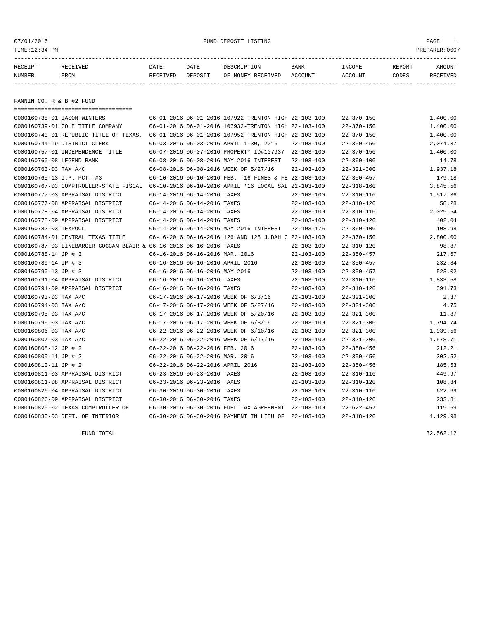07/01/2016 FUND DEPOSIT LISTING PAGE 1

| RECEIPT       | RECEIVED    | DATE     | DATE    | DESCRIPTION               | BANK | INCOME  | REPORT | AMOUNT   |
|---------------|-------------|----------|---------|---------------------------|------|---------|--------|----------|
| <b>NUMBER</b> | <b>FROM</b> | RECEIVED | DEPOSIT | OF MONEY RECEIVED ACCOUNT |      | ACCOUNT | CODES  | RECEIVED |
|               |             |          |         |                           |      |         |        |          |

FANNIN CO. R & B #2 FUND

|                                        |  |                                                                                                                                                                                                                                                                                                                                                                                                                                                                                                                                                                                                                                                                                                                                                                                                                                                                                                                                                                                                                                                                                                                                   | $22 - 370 - 150$                                                                                                                                                                                                                                                                                                                                                                                    | 1,400.00 |
|----------------------------------------|--|-----------------------------------------------------------------------------------------------------------------------------------------------------------------------------------------------------------------------------------------------------------------------------------------------------------------------------------------------------------------------------------------------------------------------------------------------------------------------------------------------------------------------------------------------------------------------------------------------------------------------------------------------------------------------------------------------------------------------------------------------------------------------------------------------------------------------------------------------------------------------------------------------------------------------------------------------------------------------------------------------------------------------------------------------------------------------------------------------------------------------------------|-----------------------------------------------------------------------------------------------------------------------------------------------------------------------------------------------------------------------------------------------------------------------------------------------------------------------------------------------------------------------------------------------------|----------|
|                                        |  |                                                                                                                                                                                                                                                                                                                                                                                                                                                                                                                                                                                                                                                                                                                                                                                                                                                                                                                                                                                                                                                                                                                                   | $22 - 370 - 150$                                                                                                                                                                                                                                                                                                                                                                                    | 1,400.00 |
| 0000160740-01 REPUBLIC TITLE OF TEXAS, |  |                                                                                                                                                                                                                                                                                                                                                                                                                                                                                                                                                                                                                                                                                                                                                                                                                                                                                                                                                                                                                                                                                                                                   | $22 - 370 - 150$                                                                                                                                                                                                                                                                                                                                                                                    | 1,400.00 |
|                                        |  | $22 - 103 - 100$                                                                                                                                                                                                                                                                                                                                                                                                                                                                                                                                                                                                                                                                                                                                                                                                                                                                                                                                                                                                                                                                                                                  | $22 - 350 - 450$                                                                                                                                                                                                                                                                                                                                                                                    | 2,074.37 |
|                                        |  |                                                                                                                                                                                                                                                                                                                                                                                                                                                                                                                                                                                                                                                                                                                                                                                                                                                                                                                                                                                                                                                                                                                                   | $22 - 370 - 150$                                                                                                                                                                                                                                                                                                                                                                                    | 1,400.00 |
|                                        |  | $22 - 103 - 100$                                                                                                                                                                                                                                                                                                                                                                                                                                                                                                                                                                                                                                                                                                                                                                                                                                                                                                                                                                                                                                                                                                                  | $22 - 360 - 100$                                                                                                                                                                                                                                                                                                                                                                                    | 14.78    |
|                                        |  | $22 - 103 - 100$                                                                                                                                                                                                                                                                                                                                                                                                                                                                                                                                                                                                                                                                                                                                                                                                                                                                                                                                                                                                                                                                                                                  | $22 - 321 - 300$                                                                                                                                                                                                                                                                                                                                                                                    | 1,937.18 |
|                                        |  |                                                                                                                                                                                                                                                                                                                                                                                                                                                                                                                                                                                                                                                                                                                                                                                                                                                                                                                                                                                                                                                                                                                                   | $22 - 350 - 457$                                                                                                                                                                                                                                                                                                                                                                                    | 179.18   |
| 0000160767-03 COMPTROLLER-STATE FISCAL |  |                                                                                                                                                                                                                                                                                                                                                                                                                                                                                                                                                                                                                                                                                                                                                                                                                                                                                                                                                                                                                                                                                                                                   | $22 - 318 - 160$                                                                                                                                                                                                                                                                                                                                                                                    | 3,845.56 |
|                                        |  | $22 - 103 - 100$                                                                                                                                                                                                                                                                                                                                                                                                                                                                                                                                                                                                                                                                                                                                                                                                                                                                                                                                                                                                                                                                                                                  | $22 - 310 - 110$                                                                                                                                                                                                                                                                                                                                                                                    | 1,517.36 |
|                                        |  | $22 - 103 - 100$                                                                                                                                                                                                                                                                                                                                                                                                                                                                                                                                                                                                                                                                                                                                                                                                                                                                                                                                                                                                                                                                                                                  | $22 - 310 - 120$                                                                                                                                                                                                                                                                                                                                                                                    | 58.28    |
|                                        |  | $22 - 103 - 100$                                                                                                                                                                                                                                                                                                                                                                                                                                                                                                                                                                                                                                                                                                                                                                                                                                                                                                                                                                                                                                                                                                                  | $22 - 310 - 110$                                                                                                                                                                                                                                                                                                                                                                                    | 2,029.54 |
|                                        |  | $22 - 103 - 100$                                                                                                                                                                                                                                                                                                                                                                                                                                                                                                                                                                                                                                                                                                                                                                                                                                                                                                                                                                                                                                                                                                                  | $22 - 310 - 120$                                                                                                                                                                                                                                                                                                                                                                                    | 402.04   |
|                                        |  | 22-103-175                                                                                                                                                                                                                                                                                                                                                                                                                                                                                                                                                                                                                                                                                                                                                                                                                                                                                                                                                                                                                                                                                                                        | $22 - 360 - 100$                                                                                                                                                                                                                                                                                                                                                                                    | 108.98   |
|                                        |  |                                                                                                                                                                                                                                                                                                                                                                                                                                                                                                                                                                                                                                                                                                                                                                                                                                                                                                                                                                                                                                                                                                                                   | $22 - 370 - 150$                                                                                                                                                                                                                                                                                                                                                                                    | 2,800.00 |
|                                        |  | 22-103-100                                                                                                                                                                                                                                                                                                                                                                                                                                                                                                                                                                                                                                                                                                                                                                                                                                                                                                                                                                                                                                                                                                                        | $22 - 310 - 120$                                                                                                                                                                                                                                                                                                                                                                                    | 98.87    |
|                                        |  | $22 - 103 - 100$                                                                                                                                                                                                                                                                                                                                                                                                                                                                                                                                                                                                                                                                                                                                                                                                                                                                                                                                                                                                                                                                                                                  | $22 - 350 - 457$                                                                                                                                                                                                                                                                                                                                                                                    | 217.67   |
|                                        |  | $22 - 103 - 100$                                                                                                                                                                                                                                                                                                                                                                                                                                                                                                                                                                                                                                                                                                                                                                                                                                                                                                                                                                                                                                                                                                                  | $22 - 350 - 457$                                                                                                                                                                                                                                                                                                                                                                                    | 232.84   |
|                                        |  | $22 - 103 - 100$                                                                                                                                                                                                                                                                                                                                                                                                                                                                                                                                                                                                                                                                                                                                                                                                                                                                                                                                                                                                                                                                                                                  | $22 - 350 - 457$                                                                                                                                                                                                                                                                                                                                                                                    | 523.02   |
|                                        |  | $22 - 103 - 100$                                                                                                                                                                                                                                                                                                                                                                                                                                                                                                                                                                                                                                                                                                                                                                                                                                                                                                                                                                                                                                                                                                                  | $22 - 310 - 110$                                                                                                                                                                                                                                                                                                                                                                                    | 1,833.58 |
|                                        |  | $22 - 103 - 100$                                                                                                                                                                                                                                                                                                                                                                                                                                                                                                                                                                                                                                                                                                                                                                                                                                                                                                                                                                                                                                                                                                                  | $22 - 310 - 120$                                                                                                                                                                                                                                                                                                                                                                                    | 391.73   |
|                                        |  | $22 - 103 - 100$                                                                                                                                                                                                                                                                                                                                                                                                                                                                                                                                                                                                                                                                                                                                                                                                                                                                                                                                                                                                                                                                                                                  | $22 - 321 - 300$                                                                                                                                                                                                                                                                                                                                                                                    | 2.37     |
|                                        |  | $22 - 103 - 100$                                                                                                                                                                                                                                                                                                                                                                                                                                                                                                                                                                                                                                                                                                                                                                                                                                                                                                                                                                                                                                                                                                                  | $22 - 321 - 300$                                                                                                                                                                                                                                                                                                                                                                                    | 4.75     |
|                                        |  | $22 - 103 - 100$                                                                                                                                                                                                                                                                                                                                                                                                                                                                                                                                                                                                                                                                                                                                                                                                                                                                                                                                                                                                                                                                                                                  | $22 - 321 - 300$                                                                                                                                                                                                                                                                                                                                                                                    | 11.87    |
|                                        |  | $22 - 103 - 100$                                                                                                                                                                                                                                                                                                                                                                                                                                                                                                                                                                                                                                                                                                                                                                                                                                                                                                                                                                                                                                                                                                                  | $22 - 321 - 300$                                                                                                                                                                                                                                                                                                                                                                                    | 1,794.74 |
|                                        |  | $22 - 103 - 100$                                                                                                                                                                                                                                                                                                                                                                                                                                                                                                                                                                                                                                                                                                                                                                                                                                                                                                                                                                                                                                                                                                                  | $22 - 321 - 300$                                                                                                                                                                                                                                                                                                                                                                                    | 1,939.56 |
|                                        |  | $22 - 103 - 100$                                                                                                                                                                                                                                                                                                                                                                                                                                                                                                                                                                                                                                                                                                                                                                                                                                                                                                                                                                                                                                                                                                                  | $22 - 321 - 300$                                                                                                                                                                                                                                                                                                                                                                                    | 1,578.71 |
|                                        |  | $22 - 103 - 100$                                                                                                                                                                                                                                                                                                                                                                                                                                                                                                                                                                                                                                                                                                                                                                                                                                                                                                                                                                                                                                                                                                                  | $22 - 350 - 456$                                                                                                                                                                                                                                                                                                                                                                                    | 212.21   |
|                                        |  | $22 - 103 - 100$                                                                                                                                                                                                                                                                                                                                                                                                                                                                                                                                                                                                                                                                                                                                                                                                                                                                                                                                                                                                                                                                                                                  | $22 - 350 - 456$                                                                                                                                                                                                                                                                                                                                                                                    | 302.52   |
|                                        |  | $22 - 103 - 100$                                                                                                                                                                                                                                                                                                                                                                                                                                                                                                                                                                                                                                                                                                                                                                                                                                                                                                                                                                                                                                                                                                                  | $22 - 350 - 456$                                                                                                                                                                                                                                                                                                                                                                                    | 185.53   |
|                                        |  | $22 - 103 - 100$                                                                                                                                                                                                                                                                                                                                                                                                                                                                                                                                                                                                                                                                                                                                                                                                                                                                                                                                                                                                                                                                                                                  | $22 - 310 - 110$                                                                                                                                                                                                                                                                                                                                                                                    | 449.97   |
|                                        |  | $22 - 103 - 100$                                                                                                                                                                                                                                                                                                                                                                                                                                                                                                                                                                                                                                                                                                                                                                                                                                                                                                                                                                                                                                                                                                                  | $22 - 310 - 120$                                                                                                                                                                                                                                                                                                                                                                                    | 108.84   |
|                                        |  | $22 - 103 - 100$                                                                                                                                                                                                                                                                                                                                                                                                                                                                                                                                                                                                                                                                                                                                                                                                                                                                                                                                                                                                                                                                                                                  | $22 - 310 - 110$                                                                                                                                                                                                                                                                                                                                                                                    | 622.69   |
|                                        |  | $22 - 103 - 100$                                                                                                                                                                                                                                                                                                                                                                                                                                                                                                                                                                                                                                                                                                                                                                                                                                                                                                                                                                                                                                                                                                                  | $22 - 310 - 120$                                                                                                                                                                                                                                                                                                                                                                                    | 233.81   |
|                                        |  | 22-103-100                                                                                                                                                                                                                                                                                                                                                                                                                                                                                                                                                                                                                                                                                                                                                                                                                                                                                                                                                                                                                                                                                                                        | $22 - 622 - 457$                                                                                                                                                                                                                                                                                                                                                                                    | 119.59   |
|                                        |  | 22-103-100                                                                                                                                                                                                                                                                                                                                                                                                                                                                                                                                                                                                                                                                                                                                                                                                                                                                                                                                                                                                                                                                                                                        | $22 - 318 - 120$                                                                                                                                                                                                                                                                                                                                                                                    | 1,129.98 |
|                                        |  | 06-03-2016 06-03-2016 APRIL 1-30, 2016<br>06-08-2016 06-08-2016 MAY 2016 INTEREST<br>06-08-2016 06-08-2016 WEEK OF 5/27/16<br>06-14-2016 06-14-2016 TAXES<br>06-14-2016 06-14-2016 TAXES<br>06-14-2016 06-14-2016 TAXES<br>06-14-2016 06-14-2016 TAXES<br>06-14-2016 06-14-2016 MAY 2016 INTEREST<br>0000160787-03 LINEBARGER GOGGAN BLAIR & 06-16-2016 06-16-2016 TAXES<br>06-16-2016 06-16-2016 MAR. 2016<br>06-16-2016 06-16-2016 APRIL 2016<br>06-16-2016 06-16-2016 MAY 2016<br>06-16-2016 06-16-2016 TAXES<br>06-16-2016 06-16-2016 TAXES<br>06-17-2016 06-17-2016 WEEK OF 6/3/16<br>06-17-2016 06-17-2016 WEEK OF 5/27/16<br>06-17-2016 06-17-2016 WEEK OF 5/20/16<br>06-17-2016 06-17-2016 WEEK OF 6/3/16<br>06-22-2016 06-22-2016 WEEK OF 6/10/16<br>06-22-2016 06-22-2016 WEEK OF 6/17/16<br>06-22-2016 06-22-2016 FEB. 2016<br>06-22-2016 06-22-2016 MAR. 2016<br>06-22-2016 06-22-2016 APRIL 2016<br>06-23-2016 06-23-2016 TAXES<br>06-23-2016 06-23-2016 TAXES<br>06-30-2016 06-30-2016 TAXES<br>06-30-2016 06-30-2016 TAXES<br>06-30-2016 06-30-2016 FUEL TAX AGREEMENT<br>06-30-2016 06-30-2016 PAYMENT IN LIEU OF | 06-01-2016 06-01-2016 107922-TRENTON HIGH 22-103-100<br>06-01-2016 06-01-2016 107932-TRENTON HIGH 22-103-100<br>06-01-2016 06-01-2016 107952-TRENTON HIGH 22-103-100<br>06-07-2016 06-07-2016 PROPERTY ID#107937 22-103-100<br>06-10-2016 06-10-2016 FEB. '16 FINES & FE 22-103-100<br>06-10-2016 06-10-2016 APRIL '16 LOCAL SAL 22-103-100<br>06-16-2016 06-16-2016 126 AND 128 JUDAH C 22-103-100 |          |

FUND TOTAL 32,562.12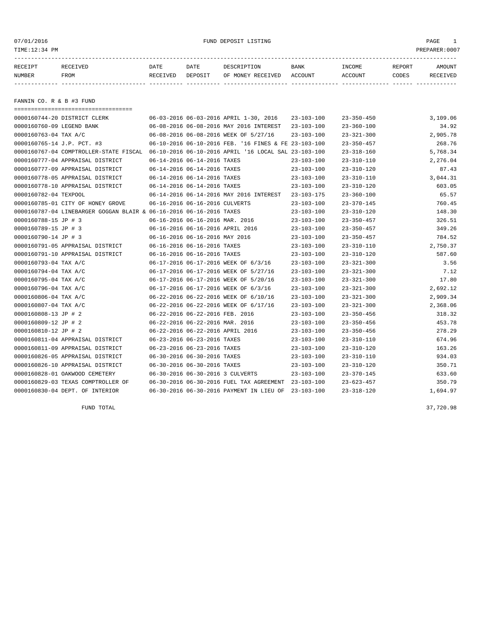07/01/2016 FUND DEPOSIT LISTING PAGE 1

| RECEIPT | RECEIVED | DATE     | DATE    | DESCRIPTION       | <b>BANK</b> | INCOME  | REPORT | AMOUNT          |
|---------|----------|----------|---------|-------------------|-------------|---------|--------|-----------------|
| NUMBER  | FROM     | RECEIVED | DEPOSIT | OF MONEY RECEIVED | ACCOUNT     | ACCOUNT | CODES  | <b>RECEIVED</b> |
|         |          |          |         |                   |             |         |        |                 |

FANNIN CO. R & B #3 FUND

| =====================================                               |                                  |                                                      |                  |                  |          |
|---------------------------------------------------------------------|----------------------------------|------------------------------------------------------|------------------|------------------|----------|
| 0000160744-20 DISTRICT CLERK                                        |                                  | 06-03-2016 06-03-2016 APRIL 1-30, 2016               | $23 - 103 - 100$ | $23 - 350 - 450$ | 3,109.06 |
| 0000160760-09 LEGEND BANK                                           |                                  | 06-08-2016 06-08-2016 MAY 2016 INTEREST              | $23 - 103 - 100$ | $23 - 360 - 100$ | 34.92    |
| 0000160763-04 TAX A/C                                               |                                  | 06-08-2016 06-08-2016 WEEK OF 5/27/16                | $23 - 103 - 100$ | $23 - 321 - 300$ | 2,905.78 |
| 0000160765-14 J.P. PCT. #3                                          |                                  | 06-10-2016 06-10-2016 FEB. '16 FINES & FE 23-103-100 |                  | $23 - 350 - 457$ | 268.76   |
| 0000160767-04 COMPTROLLER-STATE FISCAL                              |                                  | 06-10-2016 06-10-2016 APRIL '16 LOCAL SAL 23-103-100 |                  | $23 - 318 - 160$ | 5,768.34 |
| 0000160777-04 APPRAISAL DISTRICT                                    | 06-14-2016 06-14-2016 TAXES      |                                                      | $23 - 103 - 100$ | $23 - 310 - 110$ | 2,276.04 |
| 0000160777-09 APPRAISAL DISTRICT                                    | 06-14-2016 06-14-2016 TAXES      |                                                      | $23 - 103 - 100$ | $23 - 310 - 120$ | 87.43    |
| 0000160778-05 APPRAISAL DISTRICT                                    | 06-14-2016 06-14-2016 TAXES      |                                                      | $23 - 103 - 100$ | $23 - 310 - 110$ | 3,044.31 |
| 0000160778-10 APPRAISAL DISTRICT                                    | 06-14-2016 06-14-2016 TAXES      |                                                      | $23 - 103 - 100$ | $23 - 310 - 120$ | 603.05   |
| 0000160782-04 TEXPOOL                                               |                                  | 06-14-2016 06-14-2016 MAY 2016 INTEREST              | 23-103-175       | $23 - 360 - 100$ | 65.57    |
| 0000160785-01 CITY OF HONEY GROVE                                   | 06-16-2016 06-16-2016 CULVERTS   |                                                      | $23 - 103 - 100$ | $23 - 370 - 145$ | 760.45   |
| 0000160787-04 LINEBARGER GOGGAN BLAIR & 06-16-2016 06-16-2016 TAXES |                                  |                                                      | $23 - 103 - 100$ | $23 - 310 - 120$ | 148.30   |
| 0000160788-15 JP # 3                                                | 06-16-2016 06-16-2016 MAR. 2016  |                                                      | $23 - 103 - 100$ | $23 - 350 - 457$ | 326.51   |
| 0000160789-15 JP # 3                                                | 06-16-2016 06-16-2016 APRIL 2016 |                                                      | $23 - 103 - 100$ | $23 - 350 - 457$ | 349.26   |
| 0000160790-14 JP # 3                                                | 06-16-2016 06-16-2016 MAY 2016   |                                                      | $23 - 103 - 100$ | $23 - 350 - 457$ | 784.52   |
| 0000160791-05 APPRAISAL DISTRICT                                    | 06-16-2016 06-16-2016 TAXES      |                                                      | $23 - 103 - 100$ | $23 - 310 - 110$ | 2,750.37 |
| 0000160791-10 APPRAISAL DISTRICT                                    | 06-16-2016 06-16-2016 TAXES      |                                                      | $23 - 103 - 100$ | $23 - 310 - 120$ | 587.60   |
| 0000160793-04 TAX A/C                                               |                                  | 06-17-2016 06-17-2016 WEEK OF 6/3/16                 | $23 - 103 - 100$ | $23 - 321 - 300$ | 3.56     |
| 0000160794-04 TAX A/C                                               |                                  | 06-17-2016 06-17-2016 WEEK OF 5/27/16                | $23 - 103 - 100$ | $23 - 321 - 300$ | 7.12     |
| 0000160795-04 TAX A/C                                               |                                  | 06-17-2016 06-17-2016 WEEK OF 5/20/16                | $23 - 103 - 100$ | $23 - 321 - 300$ | 17.80    |
| 0000160796-04 TAX A/C                                               |                                  | 06-17-2016 06-17-2016 WEEK OF 6/3/16                 | $23 - 103 - 100$ | $23 - 321 - 300$ | 2,692.12 |
| 0000160806-04 TAX A/C                                               |                                  | 06-22-2016 06-22-2016 WEEK OF 6/10/16                | $23 - 103 - 100$ | $23 - 321 - 300$ | 2,909.34 |
| 0000160807-04 TAX A/C                                               |                                  | 06-22-2016 06-22-2016 WEEK OF 6/17/16                | $23 - 103 - 100$ | $23 - 321 - 300$ | 2,368.06 |
| 0000160808-13 JP # 2                                                | 06-22-2016 06-22-2016 FEB. 2016  |                                                      | $23 - 103 - 100$ | $23 - 350 - 456$ | 318.32   |
| 0000160809-12 JP # 2                                                | 06-22-2016 06-22-2016 MAR. 2016  |                                                      | $23 - 103 - 100$ | $23 - 350 - 456$ | 453.78   |
| 0000160810-12 JP # 2                                                | 06-22-2016 06-22-2016 APRIL 2016 |                                                      | $23 - 103 - 100$ | $23 - 350 - 456$ | 278.29   |
| 0000160811-04 APPRAISAL DISTRICT                                    | 06-23-2016 06-23-2016 TAXES      |                                                      | $23 - 103 - 100$ | $23 - 310 - 110$ | 674.96   |
| 0000160811-09 APPRAISAL DISTRICT                                    | 06-23-2016 06-23-2016 TAXES      |                                                      | $23 - 103 - 100$ | $23 - 310 - 120$ | 163.26   |
| 0000160826-05 APPRAISAL DISTRICT                                    | 06-30-2016 06-30-2016 TAXES      |                                                      | $23 - 103 - 100$ | $23 - 310 - 110$ | 934.03   |
| 0000160826-10 APPRAISAL DISTRICT                                    | 06-30-2016 06-30-2016 TAXES      |                                                      | $23 - 103 - 100$ | $23 - 310 - 120$ | 350.71   |
| 0000160828-01 OAKWOOD CEMETERY                                      | 06-30-2016 06-30-2016 3 CULVERTS |                                                      | $23 - 103 - 100$ | $23 - 370 - 145$ | 633.60   |
| 0000160829-03 TEXAS COMPTROLLER OF                                  |                                  | 06-30-2016 06-30-2016 FUEL TAX AGREEMENT             | 23-103-100       | $23 - 623 - 457$ | 350.79   |
| 0000160830-04 DEPT. OF INTERIOR                                     |                                  | 06-30-2016 06-30-2016 PAYMENT IN LIEU OF             | $23 - 103 - 100$ | $23 - 318 - 120$ | 1,694.97 |

FUND TOTAL 37,720.98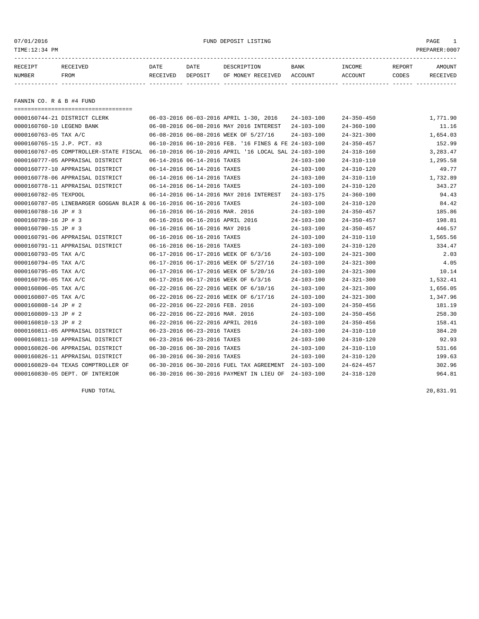07/01/2016 FUND DEPOSIT LISTING PAGE 1

| RECEIPT | <b>RECEIVED</b> | DATE            | DATE    | DESCRIPTION       | <b>BANK</b> | INCOME  | <b>REPORT</b> | AMOUNT          |
|---------|-----------------|-----------------|---------|-------------------|-------------|---------|---------------|-----------------|
| NUMBER  | FROM            | <b>RECEIVED</b> | DEPOSIT | OF MONEY RECEIVED | ACCOUNT     | ACCOUNT | CODES         | <b>RECEIVED</b> |
|         |                 |                 |         |                   |             |         |               |                 |

FANNIN CO. R & B #4 FUND

| ======================================                                                      |                                                      |                  |                  |          |
|---------------------------------------------------------------------------------------------|------------------------------------------------------|------------------|------------------|----------|
| 0000160744-21 DISTRICT CLERK                                                                | 06-03-2016 06-03-2016 APRIL 1-30, 2016               | $24 - 103 - 100$ | $24 - 350 - 450$ | 1,771.90 |
| 0000160760-10 LEGEND BANK                                                                   | 06-08-2016 06-08-2016 MAY 2016 INTEREST              | $24 - 103 - 100$ | $24 - 360 - 100$ | 11.16    |
| 0000160763-05 TAX A/C                                                                       | 06-08-2016 06-08-2016 WEEK OF 5/27/16                | $24 - 103 - 100$ | $24 - 321 - 300$ | 1,654.03 |
| 0000160765-15 J.P. PCT. #3                                                                  | 06-10-2016 06-10-2016 FEB. '16 FINES & FE 24-103-100 |                  | $24 - 350 - 457$ | 152.99   |
| 0000160767-05 COMPTROLLER-STATE FISCAL 06-10-2016 06-10-2016 APRIL '16 LOCAL SAL 24-103-100 |                                                      |                  | $24 - 318 - 160$ | 3,283.47 |
| 0000160777-05 APPRAISAL DISTRICT                                                            | 06-14-2016 06-14-2016 TAXES                          | $24 - 103 - 100$ | $24 - 310 - 110$ | 1,295.58 |
| 0000160777-10 APPRAISAL DISTRICT                                                            | 06-14-2016 06-14-2016 TAXES                          | $24 - 103 - 100$ | $24 - 310 - 120$ | 49.77    |
| 0000160778-06 APPRAISAL DISTRICT                                                            | 06-14-2016 06-14-2016 TAXES                          | $24 - 103 - 100$ | $24 - 310 - 110$ | 1,732.89 |
| 0000160778-11 APPRAISAL DISTRICT                                                            | 06-14-2016 06-14-2016 TAXES                          | $24 - 103 - 100$ | $24 - 310 - 120$ | 343.27   |
| 0000160782-05 TEXPOOL                                                                       | 06-14-2016 06-14-2016 MAY 2016 INTEREST              | $24 - 103 - 175$ | $24 - 360 - 100$ | 94.43    |
| 0000160787-05 LINEBARGER GOGGAN BLAIR & 06-16-2016 06-16-2016 TAXES                         |                                                      | $24 - 103 - 100$ | $24 - 310 - 120$ | 84.42    |
| 0000160788-16 JP # 3                                                                        | 06-16-2016 06-16-2016 MAR. 2016                      | $24 - 103 - 100$ | $24 - 350 - 457$ | 185.86   |
| 0000160789-16 JP # 3                                                                        | 06-16-2016 06-16-2016 APRIL 2016                     | $24 - 103 - 100$ | $24 - 350 - 457$ | 198.81   |
| 0000160790-15 JP # 3                                                                        | 06-16-2016 06-16-2016 MAY 2016                       | 24-103-100       | $24 - 350 - 457$ | 446.57   |
| 0000160791-06 APPRAISAL DISTRICT                                                            | 06-16-2016 06-16-2016 TAXES                          | $24 - 103 - 100$ | $24 - 310 - 110$ | 1,565.56 |
| 0000160791-11 APPRAISAL DISTRICT                                                            | 06-16-2016 06-16-2016 TAXES                          | $24 - 103 - 100$ | $24 - 310 - 120$ | 334.47   |
| 0000160793-05 TAX A/C                                                                       | 06-17-2016 06-17-2016 WEEK OF 6/3/16                 | $24 - 103 - 100$ | $24 - 321 - 300$ | 2.03     |
| 0000160794-05 TAX A/C                                                                       | 06-17-2016 06-17-2016 WEEK OF 5/27/16                | 24-103-100       | $24 - 321 - 300$ | 4.05     |
| 0000160795-05 TAX A/C                                                                       | 06-17-2016 06-17-2016 WEEK OF 5/20/16                | $24 - 103 - 100$ | $24 - 321 - 300$ | 10.14    |
| 0000160796-05 TAX A/C                                                                       | 06-17-2016 06-17-2016 WEEK OF 6/3/16                 | $24 - 103 - 100$ | $24 - 321 - 300$ | 1,532.41 |
| 0000160806-05 TAX A/C                                                                       | 06-22-2016 06-22-2016 WEEK OF 6/10/16                | $24 - 103 - 100$ | $24 - 321 - 300$ | 1,656.05 |
| 0000160807-05 TAX A/C                                                                       | 06-22-2016 06-22-2016 WEEK OF 6/17/16                | $24 - 103 - 100$ | $24 - 321 - 300$ | 1,347.96 |
| 0000160808-14 JP # 2                                                                        | 06-22-2016 06-22-2016 FEB. 2016                      | $24 - 103 - 100$ | $24 - 350 - 456$ | 181.19   |
| 0000160809-13 JP # 2                                                                        | 06-22-2016 06-22-2016 MAR. 2016                      | $24 - 103 - 100$ | $24 - 350 - 456$ | 258.30   |
| 0000160810-13 JP # 2                                                                        | 06-22-2016 06-22-2016 APRIL 2016                     | 24-103-100       | $24 - 350 - 456$ | 158.41   |
| 0000160811-05 APPRAISAL DISTRICT                                                            | 06-23-2016 06-23-2016 TAXES                          | $24 - 103 - 100$ | $24 - 310 - 110$ | 384.20   |
| 0000160811-10 APPRAISAL DISTRICT                                                            | 06-23-2016 06-23-2016 TAXES                          | $24 - 103 - 100$ | $24 - 310 - 120$ | 92.93    |
| 0000160826-06 APPRAISAL DISTRICT                                                            | 06-30-2016 06-30-2016 TAXES                          | 24-103-100       | $24 - 310 - 110$ | 531.66   |
| 0000160826-11 APPRAISAL DISTRICT                                                            | 06-30-2016 06-30-2016 TAXES                          | $24 - 103 - 100$ | $24 - 310 - 120$ | 199.63   |
| 0000160829-04 TEXAS COMPTROLLER OF                                                          | 06-30-2016 06-30-2016 FUEL TAX AGREEMENT             | 24-103-100       | $24 - 624 - 457$ | 302.96   |
| 0000160830-05 DEPT. OF INTERIOR                                                             | 06-30-2016 06-30-2016 PAYMENT IN LIEU OF             | $24 - 103 - 100$ | $24 - 318 - 120$ | 964.81   |

FUND TOTAL 20,831.91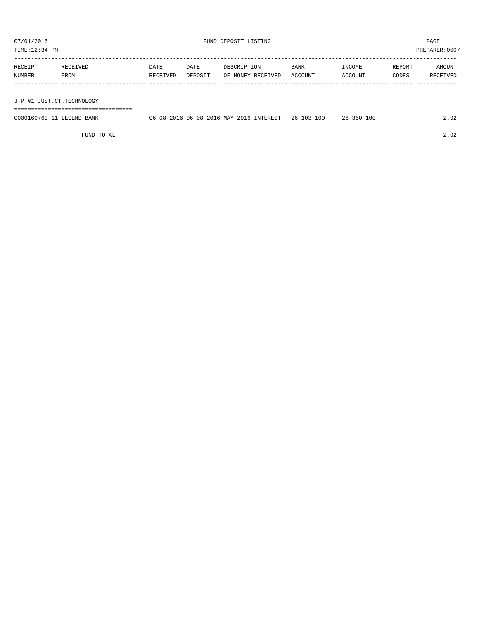TIME:12:34 PM PREPARER:0007

| RECEIPT | RECEIVED    | DATE     | DATE    | DESCRIPTION       | <b>BANK</b> | INCOME         | REPORT | AMOUNT   |
|---------|-------------|----------|---------|-------------------|-------------|----------------|--------|----------|
| NUMBER  | <b>FROM</b> | RECEIVED | DEPOSIT | OF MONEY RECEIVED | ACCOUNT     | <b>ACCOUNT</b> | CODES  | RECEIVED |
|         |             |          |         |                   |             |                |        |          |
|         |             |          |         |                   |             |                |        |          |

J.P.#1 JUST.CT.TECHNOLOGY

===================================

| 0000160760-11 LEGEND BANK | 06-08-2016 06-08-2016 MAY 2016 INTEREST 26-103-100 | 26-360-100 |  |
|---------------------------|----------------------------------------------------|------------|--|
|                           |                                                    |            |  |

FUND TOTAL 2.92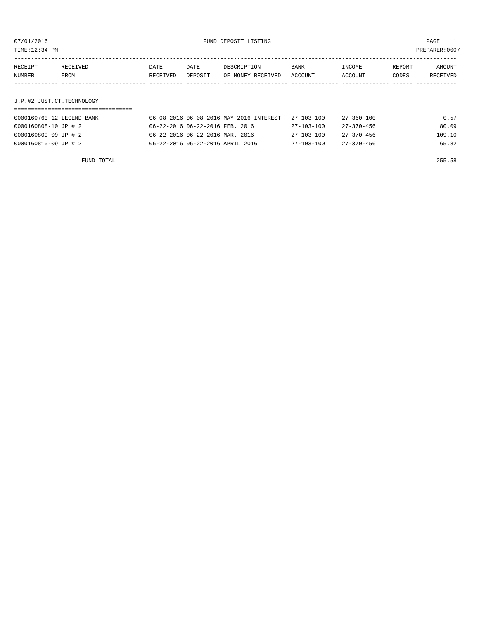TIME:12:34 PM PREPARER:0007

| RECEIPT | RECEIVED | DATE     | DATE    | DESCRIPTION       | <b>BANK</b> | INCOME  | REPORT | AMOUNT   |
|---------|----------|----------|---------|-------------------|-------------|---------|--------|----------|
| NUMBER  | FROM     | RECEIVED | DEPOSIT | OF MONEY RECEIVED | ACCOUNT     | ACCOUNT | CODES  | RECEIVED |
|         |          |          |         |                   |             |         |        |          |

## J.P.#2 JUST.CT.TECHNOLOGY

| 0000160760-12 LEGEND BANK | 06-08-2016 06-08-2016 MAY 2016 INTEREST | $27 - 103 - 100$ | 27-360-100       | 0.57   |
|---------------------------|-----------------------------------------|------------------|------------------|--------|
| 0000160808-10 JP # 2      | 06-22-2016 06-22-2016 FEB. 2016         | 27-103-100       | 27-370-456       | 80.09  |
| 0000160809-09 JP # 2      | 06-22-2016 06-22-2016 MAR. 2016         | 27-103-100       | $27 - 370 - 456$ | 109.10 |
| 0000160810-09 JP # 2      | 06-22-2016 06-22-2016 APRIL 2016        | $27 - 103 - 100$ | $27 - 370 - 456$ | 65.82  |

FUND TOTAL 255.58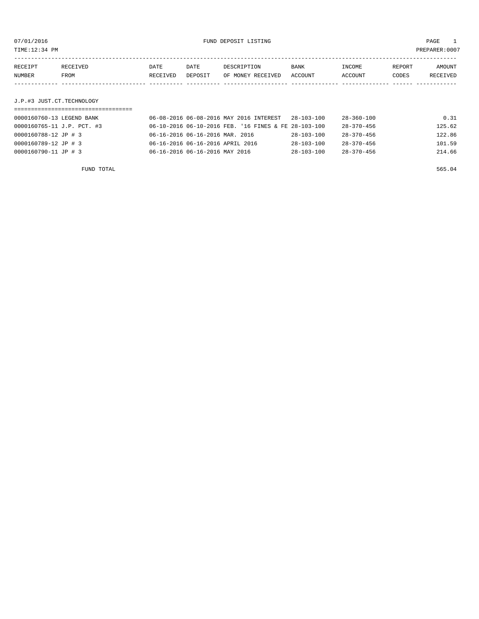| TIME:12:34 PM     |                  |                  |                 |                                  |                        |                   |                 | PREPARER: 0007     |
|-------------------|------------------|------------------|-----------------|----------------------------------|------------------------|-------------------|-----------------|--------------------|
| RECEIPT<br>NUMBER | RECEIVED<br>FROM | DATE<br>RECEIVED | DATE<br>DEPOSIT | DESCRIPTION<br>OF MONEY RECEIVED | <b>BANK</b><br>ACCOUNT | INCOME<br>ACCOUNT | REPORT<br>CODES | AMOUNT<br>RECEIVED |
|                   |                  |                  |                 |                                  |                        |                   |                 |                    |

### J.P.#3 JUST.CT.TECHNOLOGY

| 0000160760-13 LEGEND BANK  | 06-08-2016 06-08-2016 MAY 2016 INTEREST              | 28-103-100       | $28 - 360 - 100$ | 0.31   |
|----------------------------|------------------------------------------------------|------------------|------------------|--------|
| 0000160765-11 J.P. PCT. #3 | 06-10-2016 06-10-2016 FEB. '16 FINES & FE 28-103-100 |                  | $28 - 370 - 456$ | 125.62 |
| 0000160788-12 JP # 3       | 06-16-2016 06-16-2016 MAR. 2016                      | $28 - 103 - 100$ | $28 - 370 - 456$ | 122.86 |
| 0000160789-12 JP # 3       | 06-16-2016 06-16-2016 APRIL 2016                     | $28 - 103 - 100$ | $28 - 370 - 456$ | 101.59 |
| 0000160790-11 JP # 3       | 06-16-2016 06-16-2016 MAY 2016                       | $28 - 103 - 100$ | $28 - 370 - 456$ | 214.66 |
|                            |                                                      |                  |                  |        |

FUND TOTAL 565.04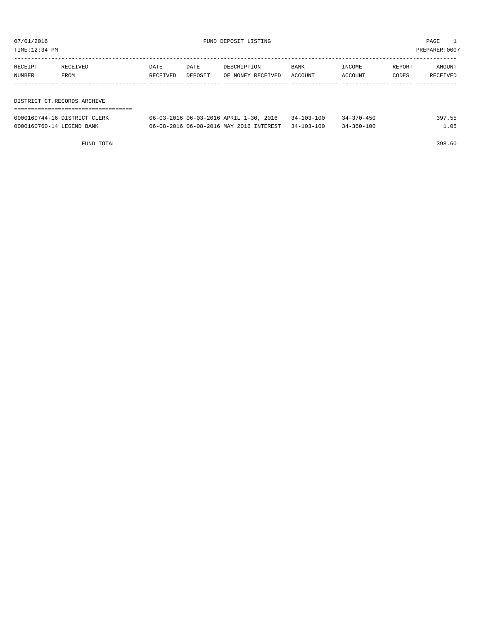TIME:12:34 PM PREPARER:0007

| RECEIPT<br>NUMBER | RECEIVED<br>FROM            | DATE<br>RECEIVED | DATE<br>DEPOSIT | DESCRIPTION<br>OF MONEY RECEIVED | BANK<br>ACCOUNT | INCOME<br>ACCOUNT | REPORT<br>CODES | AMOUNT<br>RECEIVED |  |
|-------------------|-----------------------------|------------------|-----------------|----------------------------------|-----------------|-------------------|-----------------|--------------------|--|
|                   |                             |                  |                 |                                  |                 |                   |                 |                    |  |
|                   |                             |                  |                 |                                  |                 |                   |                 |                    |  |
|                   | DISTRICT CT.RECORDS ARCHIVE |                  |                 |                                  |                 |                   |                 |                    |  |
|                   |                             |                  |                 |                                  |                 |                   |                 |                    |  |

| 0000160744-16 DISTRICT CLERK | 06-03-2016 06-03-2016 APRIL 1-30, 2016             | 34-103-100 | $34 - 370 - 450$ | 397.55 |
|------------------------------|----------------------------------------------------|------------|------------------|--------|
| 0000160760-14 LEGEND BANK    | 06-08-2016 06-08-2016 MAY 2016 INTEREST 34-103-100 |            | $34 - 360 - 100$ | . . 05 |

FUND TOTAL 398.60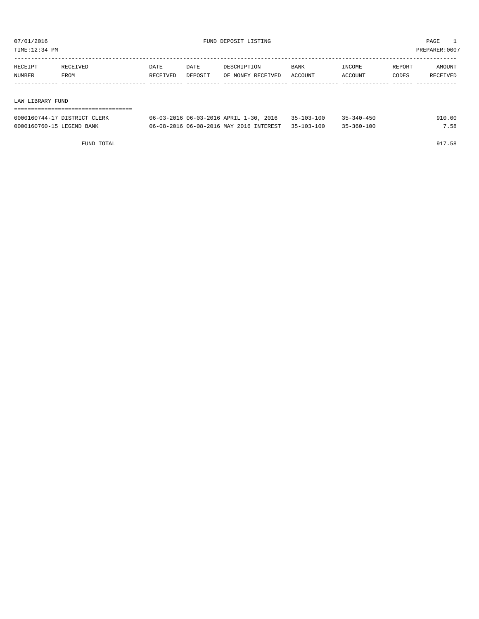TIME:12:34 PM PREPARER:0007

| RECEIPT | RECEIVED         | DATE     | DATE    | DESCRIPTION       | BANK    | INCOME  | REPORT | AMOUNT   |
|---------|------------------|----------|---------|-------------------|---------|---------|--------|----------|
| NUMBER  | FROM             | RECEIVED | DEPOSIT | OF MONEY RECEIVED | ACCOUNT | ACCOUNT | CODES  | RECEIVED |
|         |                  |          |         |                   |         |         |        |          |
|         |                  |          |         |                   |         |         |        |          |
|         | LAW LIBRARY FUND |          |         |                   |         |         |        |          |
|         |                  |          |         |                   |         |         |        |          |

| 0000160744-17 DISTRICT CLERK | 06-03-2016 06-03-2016 APRIL 1-30, 2016 35-103-100  | $35 - 340 - 450$ | 910.00 |
|------------------------------|----------------------------------------------------|------------------|--------|
| 0000160760-15 LEGEND BANK    | 06-08-2016 06-08-2016 MAY 2016 INTEREST 35-103-100 | $35 - 360 - 100$ | 7.58   |

FUND TOTAL 917.58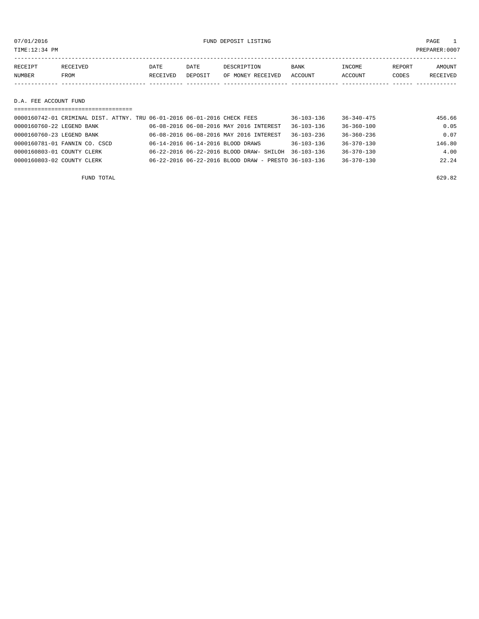07/01/2016 FUND DEPOSIT LISTING PAGE 1

| RECEIPT | RECEIVED    | DATE            | DATE    | DESCRIPTION       | <b>BANK</b> | INCOME  | REPORT | AMOUNT          |
|---------|-------------|-----------------|---------|-------------------|-------------|---------|--------|-----------------|
| NUMBER  | <b>FROM</b> | <b>RECEIVED</b> | DEPOSIT | OF MONEY RECEIVED | ACCOUNT     | ACCOUNT | CODES  | <b>RECEIVED</b> |
|         |             |                 |         |                   |             |         |        |                 |

D.A. FEE ACCOUNT FUND

|                            | ===================================                                      |  |                                                      |                  |                  |        |
|----------------------------|--------------------------------------------------------------------------|--|------------------------------------------------------|------------------|------------------|--------|
|                            | 0000160742-01 CRIMINAL DIST. ATTNY. TRU 06-01-2016 06-01-2016 CHECK FEES |  |                                                      | $36 - 103 - 136$ | $36 - 340 - 475$ | 456.66 |
| 0000160760-22 LEGEND BANK  |                                                                          |  | 06-08-2016 06-08-2016 MAY 2016 INTEREST              | $36 - 103 - 136$ | $36 - 360 - 100$ | 0.05   |
| 0000160760-23 LEGEND BANK  |                                                                          |  | 06-08-2016 06-08-2016 MAY 2016 INTEREST              | $36 - 103 - 236$ | $36 - 360 - 236$ | 0.07   |
|                            | 0000160781-01 FANNIN CO. CSCD                                            |  | 06-14-2016 06-14-2016 BLOOD DRAWS                    | $36 - 103 - 136$ | $36 - 370 - 130$ | 146.80 |
| 0000160803-01 COUNTY CLERK |                                                                          |  | 06-22-2016 06-22-2016 BLOOD DRAW- SHILOH             | 36-103-136       | $36 - 370 - 130$ | 4.00   |
| 0000160803-02 COUNTY CLERK |                                                                          |  | 06-22-2016 06-22-2016 BLOOD DRAW - PRESTO 36-103-136 |                  | $36 - 370 - 130$ | 22.24  |
|                            |                                                                          |  |                                                      |                  |                  |        |

FUND TOTAL 629.82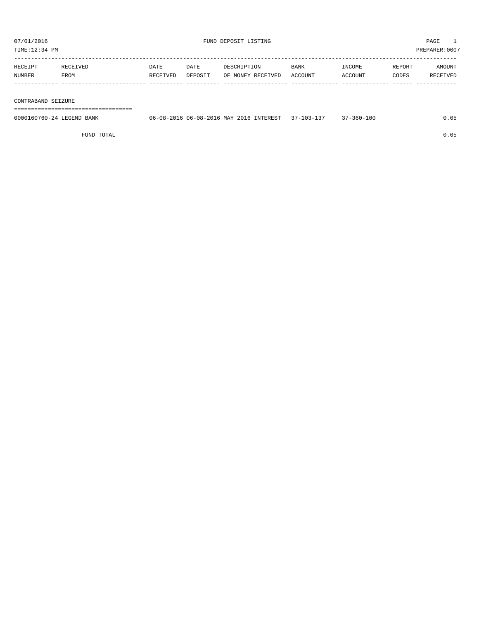| RECEIPT | RECEIVED | DATE     | DATE    | DESCRIPTION       | <b>BANK</b> | INCOME  | REPORT | <b>AMOUNT</b>   |
|---------|----------|----------|---------|-------------------|-------------|---------|--------|-----------------|
| NUMBER  | FROM     | RECEIVED | DEPOSIT | OF MONEY RECEIVED | ACCOUNT     | ACCOUNT | CODES  | <b>RECEIVED</b> |
|         |          |          |         |                   |             |         |        |                 |

#### CONTRABAND SEIZURE

===================================

| 0000160760-24 LEGEND BANK | 06-08-2016 06-08-2016 MAY 2016 INTEREST 37-103-137 |  | $37 - 360 - 100$ | 0.05 |
|---------------------------|----------------------------------------------------|--|------------------|------|
|                           |                                                    |  |                  |      |

FUND TOTAL 0.05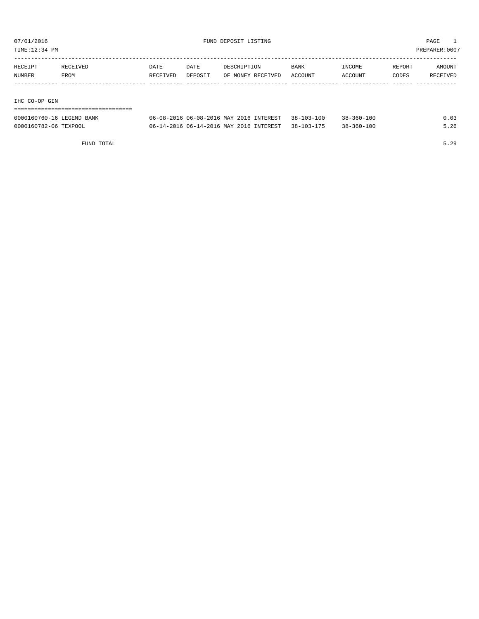TIME:12:34 PM PREPARER:0007

| RECEIPT | RECEIVED | DATE     | DATE    | DESCRIPTION       | <b>BANK</b> | INCOME         | REPORT | AMOUNT   |
|---------|----------|----------|---------|-------------------|-------------|----------------|--------|----------|
| NUMBER  | FROM     | RECEIVED | DEPOSIT | OF MONEY RECEIVED | ACCOUNT     | <b>ACCOUNT</b> | CODES  | RECEIVED |
|         |          |          |         |                   |             |                |        |          |
|         |          |          |         |                   |             |                |        |          |

#### IHC CO-OP GIN

| -----------------------------------<br>------------------------------ |                                                    |                  |      |
|-----------------------------------------------------------------------|----------------------------------------------------|------------------|------|
| 0000160760-16 LEGEND BANK                                             | 06-08-2016 06-08-2016 MAY 2016 INTEREST 38-103-100 | $38 - 360 - 100$ | 0.03 |
| 0000160782-06 TEXPOOL                                                 | 06-14-2016 06-14-2016 MAY 2016 INTEREST 38-103-175 | $38 - 360 - 100$ | 5.26 |

FUND TOTAL 5.29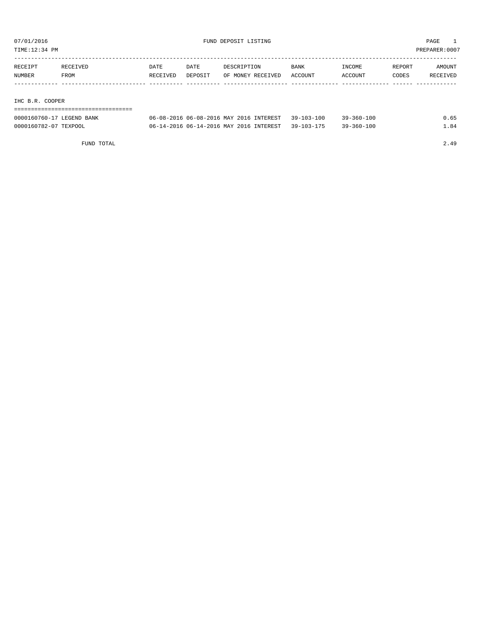TIME:12:34 PM PREPARER:0007

| RECEIPT         | RECEIVED | DATE     | DATE    | DESCRIPTION       | <b>BANK</b> | INCOME  | REPORT | AMOUNT   |
|-----------------|----------|----------|---------|-------------------|-------------|---------|--------|----------|
| NUMBER          | FROM     | RECEIVED | DEPOSIT | OF MONEY RECEIVED | ACCOUNT     | ACCOUNT | CODES  | RECEIVED |
|                 |          |          |         |                   |             |         |        |          |
|                 |          |          |         |                   |             |         |        |          |
| IHC B.R. COOPER |          |          |         |                   |             |         |        |          |

| --------------------------------<br>----<br>-----------------------------<br>--- |                                                     |                        |                                      |  |
|----------------------------------------------------------------------------------|-----------------------------------------------------|------------------------|--------------------------------------|--|
| ากกก<br><b>BANK</b><br>$h(1 -$<br>5011                                           | MAY<br>08.<br>06-08-20<br>רפת הי<br>$(16 -$<br>- '' | L 0 0<br>$20 -$<br>1 O | 10 <sub>0</sub><br>$29 -$<br>$561 -$ |  |

0000160782-07 TEXPOOL 06-14-2016 06-14-2016 MAY 2016 INTEREST 39-103-175 39-360-100 1.84

FUND TOTAL 2.49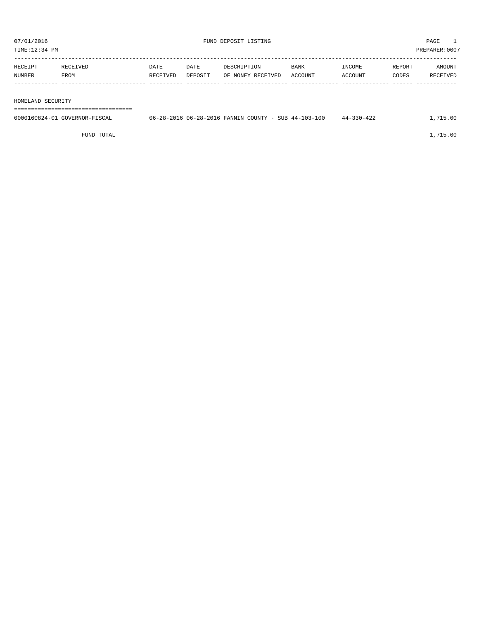| RECEIPT | RECEIVED | <b>DATE</b> | DATE    | DESCRIPTION       | <b>BANK</b> | INCOME  | REPORT | <b>AMOUNT</b> |
|---------|----------|-------------|---------|-------------------|-------------|---------|--------|---------------|
| NUMBER  | FROM     | RECEIVED    | DEPOSIT | OF MONEY RECEIVED | ACCOUNT     | ACCOUNT | CODES  | RECEIVED      |
|         |          |             |         |                   |             |         |        |               |
|         |          |             |         |                   |             |         |        |               |

HOMELAND SECURITY

===================================

| 0000160824-01 GOVERNOR-FISCAL | 06-28-2016 06-28-2016 FANNIN COUNTY - SUB 44-103-100 |  | 44-330-422 | 1,715.00 |
|-------------------------------|------------------------------------------------------|--|------------|----------|
|                               |                                                      |  |            |          |

FUND TOTAL  $1,715.00$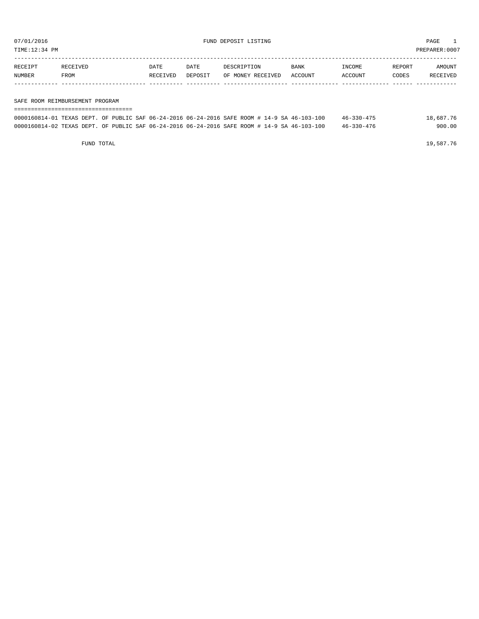TIME:12:34 PM PREPARER:0007

| RECEIPT | <b>RECEIVED</b> | DATE     | DATE    | DESCRIPTION       | <b>BANK</b> | NCOME <sup></sup> | REPORT | AMOUNT |
|---------|-----------------|----------|---------|-------------------|-------------|-------------------|--------|--------|
| NUMBER  | FROM            | RECEIVED | DEPOSIT | OF MONEY RECEIVED | ACCOUNT     | <b>CCOUNT</b>     | CODES  | CEIVED |
|         |                 |          |         |                   |             |                   |        |        |

#### SAFE ROOM REIMBURSEMENT PROGRAM

| 0000160814-01 TEXAS DEPT. OF PUBLIC SAF 06-24-2016 06-24-2016 SAFE ROOM # 14-9 SA 46-103-100 |  |  |  |  | $46 - 330 - 475$ | 18,687.76 |
|----------------------------------------------------------------------------------------------|--|--|--|--|------------------|-----------|
| 0000160814-02 TEXAS DEPT. OF PUBLIC SAF 06-24-2016 06-24-2016 SAFE ROOM # 14-9 SA 46-103-100 |  |  |  |  | $46 - 330 - 476$ | 900.00    |

FUND TOTAL  $19,587.76$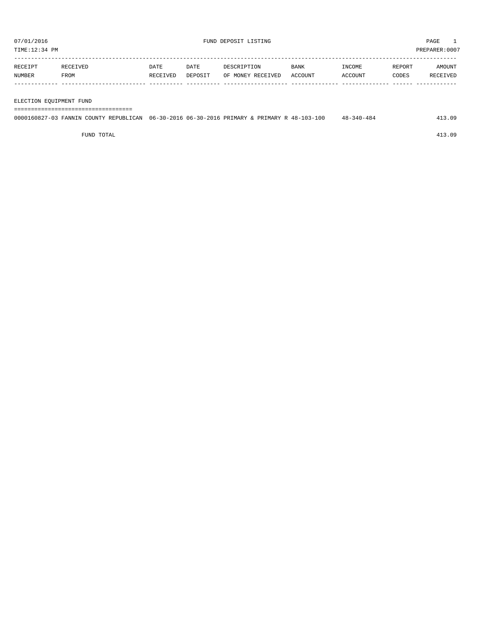| RECEIPT | RECEIVED | DATE     | DATE    | DESCRIPTION       | BANK    | INCOME  | REPORT | AMOUNT   |
|---------|----------|----------|---------|-------------------|---------|---------|--------|----------|
| NUMBER  | FROM     | RECEIVED | DEPOSIT | OF MONEY RECEIVED | ACCOUNT | ACCOUNT | CODES  | RECEIVED |
|         |          |          |         |                   |         |         |        |          |

#### ELECTION EQUIPMENT FUND

===================================

| 0000160827-03 FANNIN COUNTY REPUBLICAN 06-30-2016 06-30-2016 PRIMARY & PRIMARY R 48-103-100 | $48 - 340 - 484$ | 413.09 |
|---------------------------------------------------------------------------------------------|------------------|--------|
|                                                                                             |                  |        |

FUND TOTAL 413.09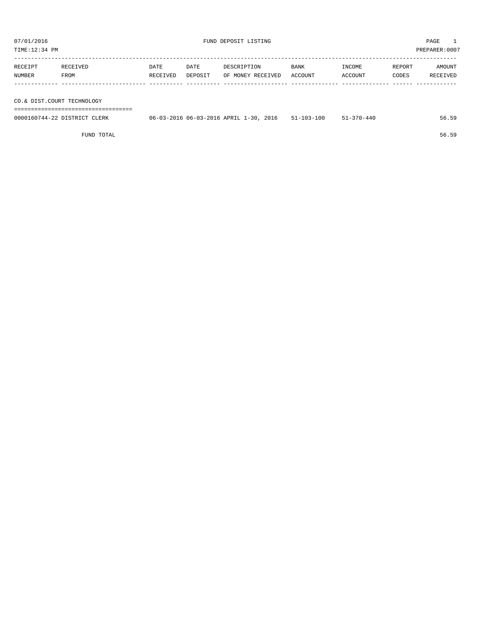| PREPARER: 0007<br>TIME:12:34 PM |          |          |         |                   |         |         |        |          |
|---------------------------------|----------|----------|---------|-------------------|---------|---------|--------|----------|
|                                 |          |          |         |                   |         |         |        |          |
| RECEIPT                         | RECEIVED | DATE     | DATE    | DESCRIPTION       | BANK    | INCOME  | REPORT | AMOUNT   |
| NUMBER                          | FROM     | RECEIVED | DEPOSIT | OF MONEY RECEIVED | ACCOUNT | ACCOUNT | CODES  | RECEIVED |
|                                 |          |          |         |                   |         |         |        |          |
|                                 |          |          |         |                   |         |         |        |          |
|                                 |          |          |         |                   |         |         |        |          |

CO.& DIST.COURT TECHNOLOGY

===================================

| 0000160744-22 DISTRICT CLERK | 06-03-2016 06-03-2016 APRIL 1-30, 2016 | $51 - 103 - 100$ | $51 - 370 - 440$ | 56.59 |
|------------------------------|----------------------------------------|------------------|------------------|-------|
|                              |                                        |                  |                  |       |
|                              |                                        |                  |                  |       |

FUND TOTAL 56.59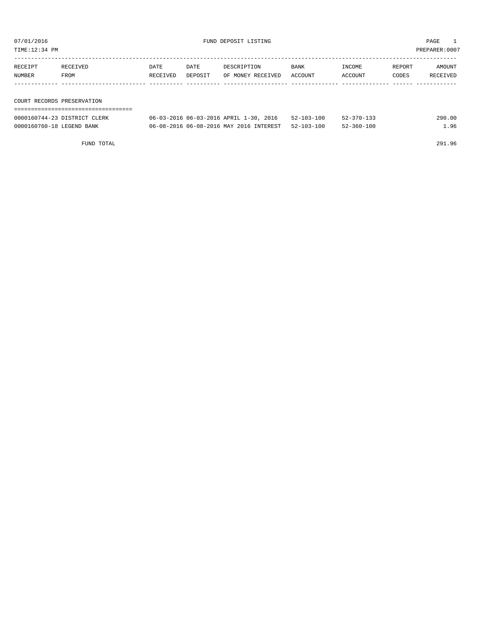TIME:12:34 PM PREPARER:0007

| RECEIPT<br>NUMBER          | RECEIVED<br>FROM | DATE<br>RECEIVED | DATE<br>DEPOSIT | DESCRIPTION<br>OF MONEY RECEIVED | BANK<br>ACCOUNT | INCOME<br>ACCOUNT | REPORT<br>CODES | AMOUNT<br>RECEIVED |  |
|----------------------------|------------------|------------------|-----------------|----------------------------------|-----------------|-------------------|-----------------|--------------------|--|
|                            |                  |                  |                 |                                  |                 |                   |                 |                    |  |
|                            |                  |                  |                 |                                  |                 |                   |                 |                    |  |
| COURT RECORDS PRESERVATION |                  |                  |                 |                                  |                 |                   |                 |                    |  |
|                            |                  |                  |                 |                                  |                 |                   |                 |                    |  |

| 0000160744-23 DISTRICT CLERK | 06-03-2016 06-03-2016 APRIL 1-30,<br>2016 | $52 - 103 - 100$ | $52 - 370 - 133$ | 290.00 |
|------------------------------|-------------------------------------------|------------------|------------------|--------|
| 0000160760-18 LEGEND BANK    | 06-08-2016 06-08-2016 MAY 2016 INTEREST   | $52 - 103 - 100$ | $52 - 360 - 100$ | 96     |

FUND TOTAL 291.96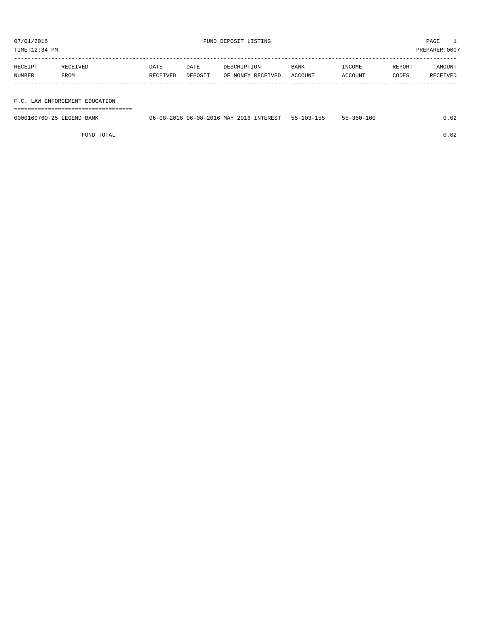TIME:12:34 PM PREPARER:0007

| RECEIPT | RECEIVED    | DATE     | DATE    | DESCRIPTION       | <b>BANK</b> | INCOME  | REPORT | AMOUNT   |
|---------|-------------|----------|---------|-------------------|-------------|---------|--------|----------|
| NUMBER  | <b>FROM</b> | RECEIVED | DEPOSIT | OF MONEY RECEIVED | ACCOUNT     | ACCOUNT | CODES  | RECEIVED |
|         |             |          |         |                   |             |         |        |          |

#### F.C. LAW ENFORCEMENT EDUCATION

===================================

| 0000160760-25 L<br>LEGEND.<br>BANK | 06-08-20 | 06-08-2016 MAY 2016 | <b>INTEREST</b> | $h -$ | 100<br>360- |  |
|------------------------------------|----------|---------------------|-----------------|-------|-------------|--|
|                                    |          |                     |                 |       |             |  |

FUND TOTAL 0.02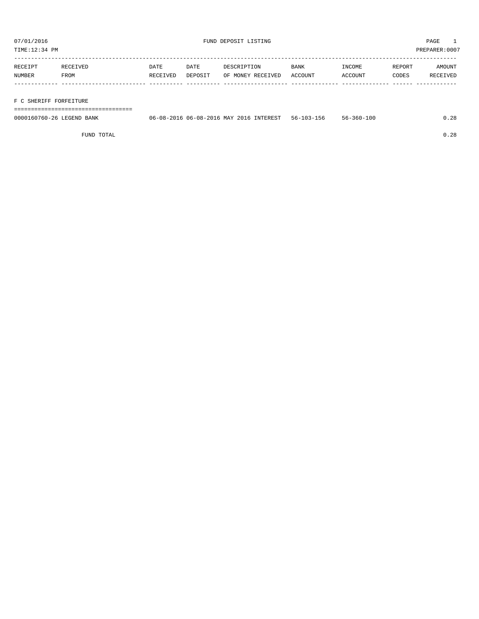| RECEIPT | <b>RECEIVED</b> | DATE     | DATE    | DESCRIPTION       | <b>BANK</b> | INCOME  | <b>REPORT</b> | AMOUNT   |
|---------|-----------------|----------|---------|-------------------|-------------|---------|---------------|----------|
| NUMBER  | <b>FROM</b>     | RECEIVED | DEPOSIT | OF MONEY RECEIVED | ACCOUNT     | ACCOUNT | CODES         | RECEIVED |
|         |                 |          |         |                   |             |         |               |          |

#### F C SHERIFF FORFEITURE

===================================

| 0000160760-26<br>BANK<br>. FIGERIND | 1 - 08 – 2น -<br>:)6- | - 201<br>MAY<br>-08-<br>$11h -$ | 2016<br><b>INTEREST</b> | 56- | 100<br>360-<br>- חר |  |
|-------------------------------------|-----------------------|---------------------------------|-------------------------|-----|---------------------|--|
|                                     |                       |                                 |                         |     |                     |  |

FUND TOTAL 0.28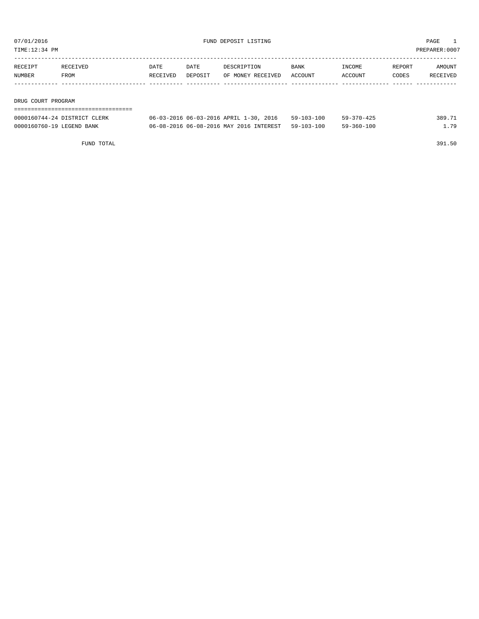TIME:12:34 PM PREPARER:0007

| RECEIPT | RECEIVED           | DATE     | DATE    | DESCRIPTION       | BANK    | INCOME  | REPORT | AMOUNT   |  |  |
|---------|--------------------|----------|---------|-------------------|---------|---------|--------|----------|--|--|
| NUMBER  | FROM               | RECEIVED | DEPOSIT | OF MONEY RECEIVED | ACCOUNT | ACCOUNT | CODES  | RECEIVED |  |  |
|         |                    |          |         |                   |         |         |        |          |  |  |
|         |                    |          |         |                   |         |         |        |          |  |  |
|         | DRUG COURT PROGRAM |          |         |                   |         |         |        |          |  |  |

===================================

| 0000160744-24 DISTRICT CLERK | 06-03-2016 06-03-2016 APRIL 1-30, 2016 59-103-100  | $59 - 370 - 425$ | 389.71 |
|------------------------------|----------------------------------------------------|------------------|--------|
| 0000160760-19 LEGEND BANK    | 06-08-2016 06-08-2016 MAY 2016 INTEREST 59-103-100 | 59-360-100       | . 79   |

FUND TOTAL 391.50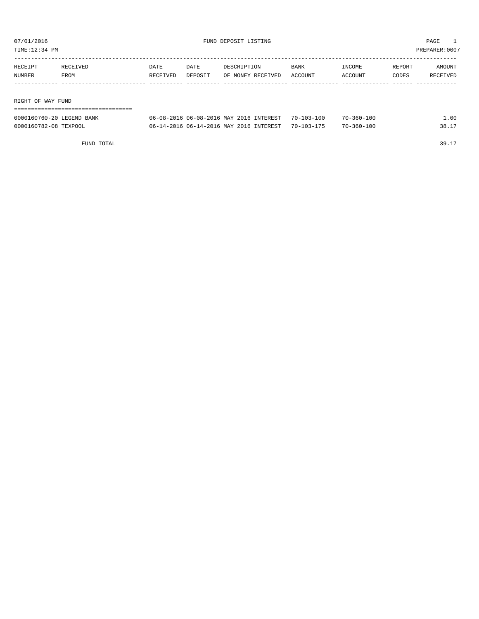| TIME:12:34 PM     |         |          |          |         |                   |             | PREPARER:0007 |        |          |  |
|-------------------|---------|----------|----------|---------|-------------------|-------------|---------------|--------|----------|--|
|                   |         |          |          |         |                   |             |               |        |          |  |
|                   | RECEIPT | RECEIVED | DATE     | DATE    | DESCRIPTION       | <b>BANK</b> | INCOME        | REPORT | AMOUNT   |  |
|                   | NUMBER  | FROM     | RECEIVED | DEPOSIT | OF MONEY RECEIVED | ACCOUNT     | ACCOUNT       | CODES  | RECEIVED |  |
|                   |         |          |          |         |                   |             |               |        |          |  |
|                   |         |          |          |         |                   |             |               |        |          |  |
| RIGHT OF WAY FUND |         |          |          |         |                   |             |               |        |          |  |
|                   |         |          |          |         |                   |             |               |        |          |  |

| 0000160760-20 LEGEND BANK | 06-08-2016 06-08-2016 MAY 2016 INTEREST | $70 - 103 - 100$ | $70 - 360 - 100$ | .00 |
|---------------------------|-----------------------------------------|------------------|------------------|-----|
| 0000160782-08 TEXPOOL     | 06-14-2016 06-14-2016 MAY 2016 INTEREST | $70 - 103 - 175$ | $70 - 360 - 100$ |     |

FUND TOTAL 39.17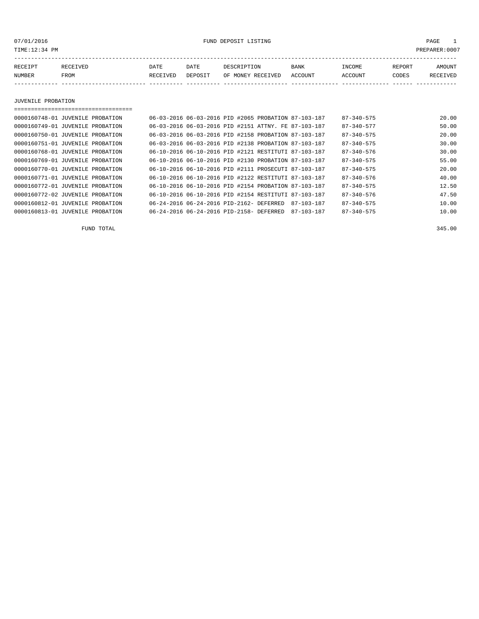07/01/2016 FUND DEPOSIT LISTING PAGE 1

| RECEIPT | <b>RECEIVED</b> | DATE            | DATE    | DESCRIPTION       | <b>BANK</b> | <b>TNCOME</b> | REPORT | AMOUNT          |
|---------|-----------------|-----------------|---------|-------------------|-------------|---------------|--------|-----------------|
| NUMBER  | FROM            | <b>RECEIVED</b> | DEPOSIT | OF MONEY RECEIVED | ACCOUNT     | ACCOUNT       | CODES  | <b>RECEIVED</b> |
|         |                 |                 |         |                   |             |               |        |                 |

JUVENILE PROBATION

| ================================== |                                                                            |       |
|------------------------------------|----------------------------------------------------------------------------|-------|
| 0000160748-01 JUVENILE PROBATION   | 06-03-2016 06-03-2016 PID #2065 PROBATION 87-103-187<br>$87 - 340 - 575$   | 20.00 |
| 0000160749-01 JUVENILE PROBATION   | 06-03-2016 06-03-2016 PID #2151 ATTNY. FE 87-103-187<br>87-340-577         | 50.00 |
| 0000160750-01 JUVENILE PROBATION   | 06-03-2016 06-03-2016 PID #2158 PROBATION 87-103-187<br>$87 - 340 - 575$   | 20.00 |
| 0000160751-01 JUVENILE PROBATION   | 06-03-2016 06-03-2016 PID #2138 PROBATION 87-103-187<br>$87 - 340 - 575$   | 30.00 |
| 0000160768-01 JUVENILE PROBATION   | 06-10-2016 06-10-2016 PID #2121 RESTITUTI 87-103-187<br>$87 - 340 - 576$   | 30.00 |
| 0000160769-01 JUVENILE PROBATION   | 06-10-2016 06-10-2016 PID #2130 PROBATION 87-103-187<br>$87 - 340 - 575$   | 55.00 |
| 0000160770-01 JUVENILE PROBATION   | 06-10-2016 06-10-2016 PID #2111 PROSECUTI 87-103-187<br>$87 - 340 - 575$   | 20.00 |
| 0000160771-01 JUVENILE PROBATION   | 06-10-2016 06-10-2016 PID #2122 RESTITUTI 87-103-187<br>$87 - 340 - 576$   | 40.00 |
| 0000160772-01 JUVENILE PROBATION   | 06-10-2016 06-10-2016 PID #2154 PROBATION 87-103-187<br>$87 - 340 - 575$   | 12.50 |
| 0000160772-02 JUVENILE PROBATION   | 06-10-2016 06-10-2016 PID #2154 RESTITUTI 87-103-187<br>$87 - 340 - 576$   | 47.50 |
| 0000160812-01 JUVENILE PROBATION   | 06-24-2016 06-24-2016 PID-2162- DEFERRED<br>$87 - 340 - 575$<br>87-103-187 | 10.00 |
| 0000160813-01 JUVENILE PROBATION   | 06-24-2016 06-24-2016 PID-2158- DEFERRED<br>$87 - 340 - 575$<br>87-103-187 | 10.00 |

FUND TOTAL 345.00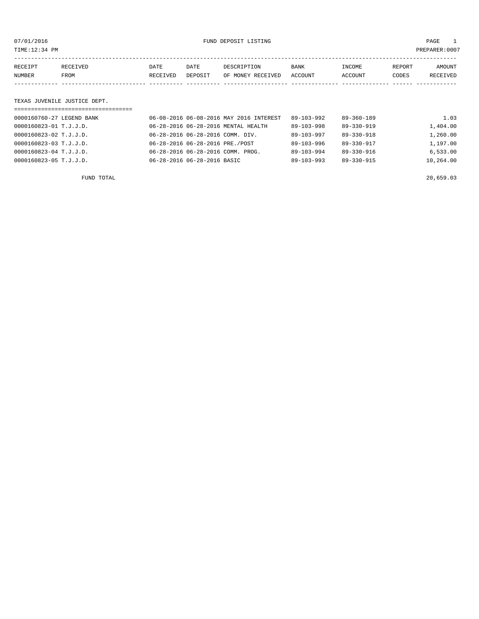07/01/2016 FUND DEPOSIT LISTING PAGE 1

| RECEIPT | RECEIVED | DATE            | DATE    | DESCRIPTION       | <b>BANK</b> | INCOME  | REPORT | AMOUNT          |
|---------|----------|-----------------|---------|-------------------|-------------|---------|--------|-----------------|
| NUMBER  | FROM     | <b>RECEIVED</b> | DEPOSIT | OF MONEY RECEIVED | ACCOUNT     | ACCOUNT | CODES  | <b>RECEIVED</b> |
|         |          |                 |         |                   |             |         |        |                 |

#### TEXAS JUVENILE JUSTICE DEPT.

| ============================== |                                         |                  |                  |           |
|--------------------------------|-----------------------------------------|------------------|------------------|-----------|
| 0000160760-27 LEGEND BANK      | 06-08-2016 06-08-2016 MAY 2016 INTEREST | $89 - 103 - 992$ | $89 - 360 - 189$ | 1.03      |
| 0000160823-01 T.J.J.D.         | 06-28-2016 06-28-2016 MENTAL HEALTH     | $89 - 103 - 998$ | 89-330-919       | 1,404.00  |
| 0000160823-02 T.J.J.D.         | 06-28-2016 06-28-2016 COMM. DIV.        | $89 - 103 - 997$ | 89-330-918       | 1,260.00  |
| 0000160823-03 T.J.J.D.         | 06-28-2016 06-28-2016 PRE./POST         | $89 - 103 - 996$ | $89 - 330 - 917$ | 1,197.00  |
| 0000160823-04 T.J.J.D.         | 06-28-2016 06-28-2016 COMM. PROG.       | $89 - 103 - 994$ | $89 - 330 - 916$ | 6.533.00  |
| 0000160823-05 T.J.J.D.         | 06-28-2016 06-28-2016 BASIC             | $89 - 103 - 993$ | 89-330-915       | 10,264.00 |
|                                |                                         |                  |                  |           |

FUND TOTAL 20,659.03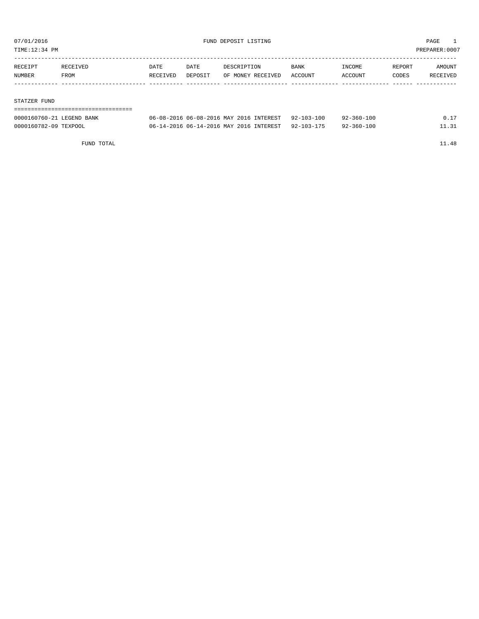TIME:12:34 PM PREPARER:0007

| RECEIPT | RECEIVED | DATE     | DATE    | DESCRIPTION       | BANK    | INCOME  | REPORT | AMOUNT   |
|---------|----------|----------|---------|-------------------|---------|---------|--------|----------|
| NUMBER  | FROM     | RECEIVED | DEPOSIT | OF MONEY RECEIVED | ACCOUNT | ACCOUNT | CODES  | RECEIVED |
|         |          |          |         |                   |         |         |        |          |
|         |          |          |         |                   |         |         |        |          |
|         |          |          |         |                   |         |         |        |          |

#### STATZER FUND

## ===================================

| 0000160760-21 LEGEND BANK | 06-08-2016 06-08-2016 MAY 2016 INTEREST | $92 - 103 - 100$ | $92 - 360 - 100$ |  |
|---------------------------|-----------------------------------------|------------------|------------------|--|
| 0000160782-09 TEXPOOL     | 06-14-2016 06-14-2016 MAY 2016 INTEREST | $92 - 103 - 175$ | $92 - 360 - 100$ |  |

FUND TOTAL 11.48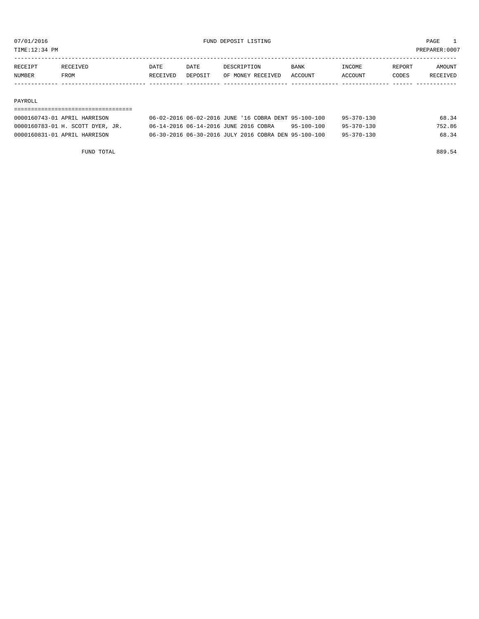TIME:12:34 PM PREPARER:0007

| RECEIPT       | <b>RECEIVED</b> | DATE     | DATE    | DESCRIPTION       | <b>BANK</b> | <b>NCOME</b> | REPORT | AMOUNT          |
|---------------|-----------------|----------|---------|-------------------|-------------|--------------|--------|-----------------|
| <b>NUMBER</b> | FROM            | RECEIVED | DEPOSIT | OF MONEY RECEIVED | ACCOUNT     | ACCOUNT      | CODES  | <b>RECEIVED</b> |
|               |                 |          |         |                   |             |              |        |                 |

#### PAYROLL

## ===================================

| 0000160743-01 APRIL HARRISON     | 06-02-2016 06-02-2016 JUNE '16 COBRA DENT 95-100-100 |  |            | $95 - 370 - 130$ | 68.34  |
|----------------------------------|------------------------------------------------------|--|------------|------------------|--------|
| 0000160783-01 H. SCOTT DYER, JR. | 06-14-2016 06-14-2016 JUNE 2016 COBRA                |  | 95-100-100 | $95 - 370 - 130$ | 752.86 |
| 0000160831-01 APRIL HARRISON     | 06-30-2016 06-30-2016 JULY 2016 COBRA DEN 95-100-100 |  |            | $95 - 370 - 130$ | 68.34  |

FUND TOTAL 889.54